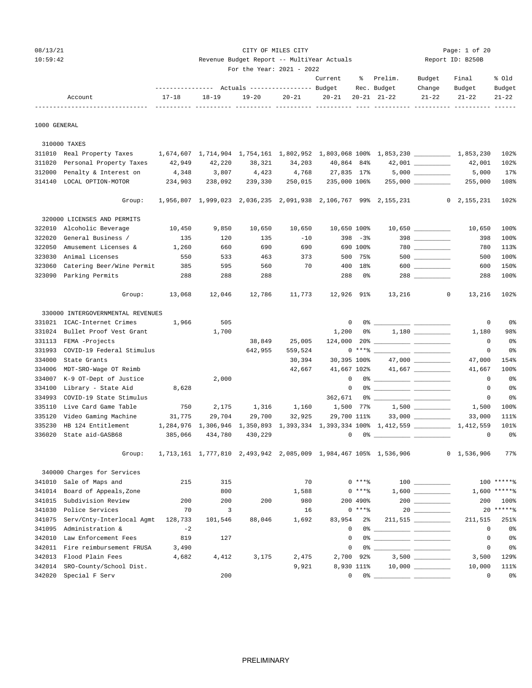| 08/13/21 | CITY OF MILES CITY                         | Page: $1$ of 20  |
|----------|--------------------------------------------|------------------|
| 10:59:42 | Revenue Budget Report -- MultiYear Actuals | Report ID: B250B |

| For the Year: 2021 - 2022 |  |
|---------------------------|--|

|         |           |                                                             |       |       | Current | % Prelim.         | Budget | Final               | % old  |
|---------|-----------|-------------------------------------------------------------|-------|-------|---------|-------------------|--------|---------------------|--------|
|         |           | --------------- Actuals ---------------- Budget Rec. Budget |       |       |         |                   | Change | Budget              | Budget |
| Account | $17 - 18$ | 18-19                                                       | 19-20 | 20-21 |         | 20-21 20-21 21-22 |        | $21 - 22$ $21 - 22$ | 21-22  |
|         |           |                                                             |       |       |         |                   |        |                     |        |

1000 GENERAL

 310000 TAXES 311010 Real Property Taxes 1,674,607 1,714,904 1,754,161 1,802,952 1,803,068 100% 1,853,230 \_\_\_\_\_\_\_\_\_\_ 1,853,230 102% 311020 Personal Property Taxes 42,949 42,220 38,321 34,203 40,864 84% 42,001 \_\_\_\_\_\_\_\_\_\_ 42,001 102% 312000 Penalty & Interest on  $4,348$  3,807  $4,423$  4,768 27,835 17% 5,000 \_\_\_\_\_\_\_\_ 5,000 17% 314140 LOCAL OPTION-MOTOR 234,903 238,092 239,330 250,015 235,000 106% 255,000 \_\_\_\_\_\_\_\_\_\_ 255,000 108% Group: 1,956,807 1,999,023 2,036,235 2,091,938 2,106,767 99% 2,155,231 0 2,155,231 102% 320000 LICENSES AND PERMITS 322010 Alcoholic Beverage 10,450 9,850 10,650 10,650 10,650 100% 10,650 \_\_\_\_\_\_\_\_\_\_ 10,650 100% 322020 General Business / 135 120 135 -10 398 -3% 398 \_\_\_\_\_\_\_\_\_\_ 398 100% 322050 Amusement Licenses & 1,260 660 690 690 690 100% 780 \_\_\_\_\_\_\_\_\_\_ 780 113% 323030 Animal Licenses 550 533 463 373 500 75% 500 \_\_\_\_\_\_\_\_\_\_ 500 100% 323060 Catering Beer/Wine Permit 385 595 560 70 400 18% 600 \_\_\_\_\_\_\_\_ 600 150% 323090 Parking Permits 288 288 288 288 0% 288 \_\_\_\_\_\_\_\_\_\_ 288 100% Group: 13,068 12,046 12,786 11,773 12,926 91% 13,216 0 13,216 102% 330000 INTERGOVERNMENTAL REVENUES 331021 ICAC-Internet Crimes 1,966 505 0 0% \_\_\_\_\_\_\_\_\_\_ \_\_\_\_\_\_\_\_\_\_ 0 0% 331024 Bullet Proof Vest Grant 1,700 1,200 0% 1,180 1,180 1,180 98% 331113 FEMA -Projects 38,849 25,005 124,000 20% \_\_\_\_\_\_\_\_\_\_ \_\_\_\_\_\_\_\_\_\_ 0 0% 331993 COVID-19 Federal Stimulus 642,955 559,524 0 \*\*\*% \_\_\_\_\_\_\_\_\_\_ \_\_\_\_\_\_\_\_\_\_ 0 0% 334000 State Grants 30,394 30,395 100% 47,000 \_\_\_\_\_\_\_\_\_\_ 47,000 154% 334006 MDT-SRO-Wage OT Reimb 42,667 41,667 102% 41,667 \_\_\_\_\_\_\_\_\_\_ 41,667 100% 334007 K-9 OT-Dept of Justice 2,000 0 0% \_\_\_\_\_\_\_\_\_\_ \_\_\_\_\_\_\_\_\_\_ 0 0% 334100 Library - State Aid 8,628 0 0% \_\_\_\_\_\_\_\_\_\_ \_\_\_\_\_\_\_\_\_\_ 0 0% 334993 COVID-19 State Stimulus 262,671 0% 28 335110 Live Card Game Table 750 2,175 1,316 1,160 1,500 77% 1,500 \_\_\_\_\_\_\_\_\_\_ 1,500 100% 335120 Video Gaming Machine 31,775 29,704 29,700 32,925 29,700 111% 33,000 \_\_\_\_\_\_\_\_\_\_ 33,000 111% 335230 HB 124 Entitlement 1,284,976 1,306,946 1,350,893 1,393,334 1,393,334 100% 1,412,559 \_\_\_\_\_\_\_\_\_\_ 1,412,559 101% 336020 State aid-GASB68 385,066 434,780 430,229 0 0% 2008 2011 0 0 0% 2012 0 0 0% Group: 1,713,161 1,777,810 2,493,942 2,085,009 1,984,467 105% 1,536,906 0 1,536,906 77% 340000 Charges for Services 341010 Sale of Maps and 215 315 70 0 \*\*\*% 100 \_\_\_\_\_\_\_\_\_\_ 100 \*\*\*\*\*% 341014 Board of Appeals,Zone <br>341015 Subdivision Review 200 200 200 200 980 200 490% 200 \_\_\_\_\_\_\_\_ 200 100%<br>341030 Police Sexuises - - - - -341015 Subdivision Review 200 200 200 980 980 200 490% 200 200 200 100% 341030 Police Services 3 70 3 3 16 0 \*\*\*\* 3 20 \_\_\_\_\_\_\_\_ 20 \*\*\*\*\*\* 3 341075 Serv/Cnty-Interlocal Agmt 128,733 101,546 88,046 1,692 83,954 2% 211,515 \_\_\_\_\_\_\_\_\_\_ 211,515 251% 341095 Administration &  $-2$   $-2$  0 0%  $-$  0 0%  $-$  0 0% 342010 Law Enforcement Fees 819 127 0 0% \_\_\_\_\_\_\_\_\_\_ \_\_\_\_\_\_\_\_\_\_ 0 0% 342011 Fire reimbursement FRUSA 3,490  $\begin{array}{ccc} 3,490 & 0 & 0 \\ - & 0 & 0 & 0 \\ 0 & 0 & 0 & 0 \end{array}$ 342013 Flood Plain Fees 4,682 4,412 3,175 2,475 2,700 92% 3,500 \_\_\_\_\_\_\_\_\_\_ 3,500 129% 342014 SRO-County/School Dist. 9,921 8,930 111% 10,000 \_\_\_\_\_\_\_\_\_\_ 10,000 111% 342020 Special F Serv 200 0 0% \_\_\_\_\_\_\_\_\_\_ \_\_\_\_\_\_\_\_\_\_ 0 0%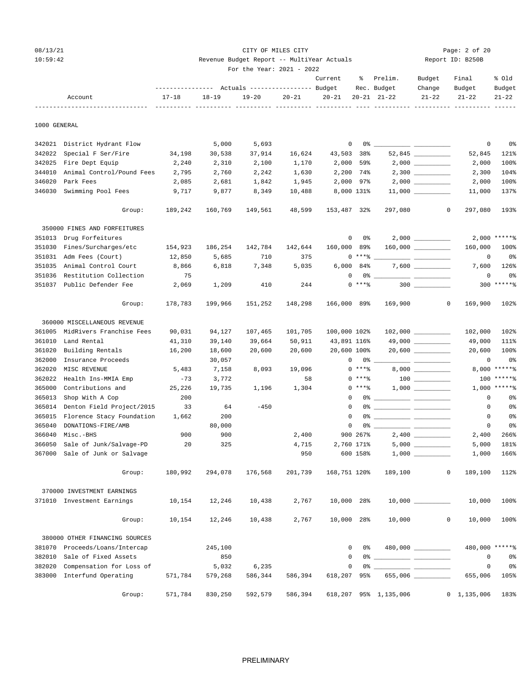## 08/13/21 Page: 2 of 20 Page: 2 of 20 10:59:42 Revenue Budget Report -- MultiYear Actuals Report ID: B250B

|              |                                |           |           | For the Year: 2021 - 2022<br>--------------- Actuals ---------------- Budget |           | Current        | ိ          | Prelim.<br>Rec. Budget | Budget<br>Change                                                                                                                                                                                                                                                                                                                                                                                                                                                           | Final<br>Budget    | % Old<br>Budget |
|--------------|--------------------------------|-----------|-----------|------------------------------------------------------------------------------|-----------|----------------|------------|------------------------|----------------------------------------------------------------------------------------------------------------------------------------------------------------------------------------------------------------------------------------------------------------------------------------------------------------------------------------------------------------------------------------------------------------------------------------------------------------------------|--------------------|-----------------|
|              | Account                        | $17 - 18$ | $18 - 19$ | $19 - 20$                                                                    | $20 - 21$ | $20 - 21$      |            | $20 - 21$ $21 - 22$    | $21 - 22$                                                                                                                                                                                                                                                                                                                                                                                                                                                                  | $21 - 22$          | $21 - 22$       |
| 1000 GENERAL |                                |           |           |                                                                              |           |                |            |                        |                                                                                                                                                                                                                                                                                                                                                                                                                                                                            |                    |                 |
|              | 342021 District Hydrant Flow   |           | 5,000     | 5,693                                                                        |           | $\overline{0}$ |            |                        |                                                                                                                                                                                                                                                                                                                                                                                                                                                                            | 0                  | 0%              |
| 342022       | Special F Ser/Fire             | 34,198    | 30,538    | 37,914                                                                       | 16,624    | 43,503 38%     |            |                        |                                                                                                                                                                                                                                                                                                                                                                                                                                                                            | 52,845             | 121%            |
| 342025       | Fire Dept Equip                | 2,240     | 2,310     | 2,100                                                                        | 1,170     | 2,000          | 59%        |                        |                                                                                                                                                                                                                                                                                                                                                                                                                                                                            | 2,000              | 100%            |
| 344010       | Animal Control/Pound Fees      | 2,795     | 2,760     | 2,242                                                                        | 1,630     | 2,200 74%      |            |                        | $2,300$                                                                                                                                                                                                                                                                                                                                                                                                                                                                    | 2,300              | 104%            |
| 346020       | Park Fees                      | 2,085     | 2,681     | 1,842                                                                        | 1,945     | 2,000 97%      |            |                        |                                                                                                                                                                                                                                                                                                                                                                                                                                                                            | 2,000              | 100%            |
| 346030       | Swimming Pool Fees             | 9,717     | 9,877     | 8,349                                                                        | 10,488    | 8,000 131%     |            |                        |                                                                                                                                                                                                                                                                                                                                                                                                                                                                            | 11,000             | 137%            |
|              | Group:                         | 189,242   | 160,769   | 149,561                                                                      | 48,599    | 153,487 32%    |            | 297,080                | 0                                                                                                                                                                                                                                                                                                                                                                                                                                                                          | 297,080            | 193%            |
|              | 350000 FINES AND FORFEITURES   |           |           |                                                                              |           |                |            |                        |                                                                                                                                                                                                                                                                                                                                                                                                                                                                            |                    |                 |
|              | 351013 Drug Forfeitures        |           |           |                                                                              |           | 0              | 0%         |                        | $2,000$ __________                                                                                                                                                                                                                                                                                                                                                                                                                                                         |                    | $2,000$ *****%  |
| 351030       | Fines/Surcharges/etc           | 154,923   | 186,254   | 142,784                                                                      | 142,644   | 160,000 89%    |            |                        | 160,000                                                                                                                                                                                                                                                                                                                                                                                                                                                                    | 160,000            | 100%            |
| 351031       | Adm Fees (Court)               | 12,850    | 5,685     | 710                                                                          | 375       |                | $0***$ $*$ |                        |                                                                                                                                                                                                                                                                                                                                                                                                                                                                            | 0                  | 0 <sup>8</sup>  |
| 351035       | Animal Control Court           | 8,866     | 6,818     | 7,348                                                                        | 5,035     | $6,000$ $84\%$ |            |                        |                                                                                                                                                                                                                                                                                                                                                                                                                                                                            | 7,600              | 126%            |
| 351036       | Restitution Collection         | 75        |           |                                                                              |           | 0              |            | $0\%$ __               | $\frac{1}{2} \left( \frac{1}{2} \right) \left( \frac{1}{2} \right) \left( \frac{1}{2} \right) \left( \frac{1}{2} \right) \left( \frac{1}{2} \right) \left( \frac{1}{2} \right) \left( \frac{1}{2} \right) \left( \frac{1}{2} \right) \left( \frac{1}{2} \right) \left( \frac{1}{2} \right) \left( \frac{1}{2} \right) \left( \frac{1}{2} \right) \left( \frac{1}{2} \right) \left( \frac{1}{2} \right) \left( \frac{1}{2} \right) \left( \frac{1}{2} \right) \left( \frac$ | 0                  | 0%              |
| 351037       | Public Defender Fee            | 2,069     | 1,209     | 410                                                                          | 244       |                | $0***8$    |                        | $300$                                                                                                                                                                                                                                                                                                                                                                                                                                                                      |                    | $300$ ******    |
|              | Group:                         | 178,783   | 199,966   | 151,252                                                                      | 148,298   | 166,000 89%    |            | 169,900                | 0                                                                                                                                                                                                                                                                                                                                                                                                                                                                          | 169,900            | 102%            |
|              | 360000 MISCELLANEOUS REVENUE   |           |           |                                                                              |           |                |            |                        |                                                                                                                                                                                                                                                                                                                                                                                                                                                                            |                    |                 |
| 361005       | MidRivers Franchise Fees       | 90,031    | 94,127    | 107,465                                                                      | 101,705   | 100,000 102%   |            |                        |                                                                                                                                                                                                                                                                                                                                                                                                                                                                            | 102,000            | 102%            |
| 361010       | Land Rental                    | 41,310    | 39,140    | 39,664                                                                       | 50,911    | 43,891 116%    |            |                        |                                                                                                                                                                                                                                                                                                                                                                                                                                                                            | 49,000             | 111%            |
| 361020       | Building Rentals               | 16,200    | 18,600    | 20,600                                                                       | 20,600    | 20,600 100%    |            |                        | $20,600$ __________                                                                                                                                                                                                                                                                                                                                                                                                                                                        | 20,600             | 100%            |
| 362000       | Insurance Proceeds             |           | 30,057    |                                                                              |           | $\mathbf{0}$   |            | 0 %                    | $\frac{1}{2} \left( \frac{1}{2} \right) \left( \frac{1}{2} \right) \left( \frac{1}{2} \right) \left( \frac{1}{2} \right) \left( \frac{1}{2} \right) \left( \frac{1}{2} \right) \left( \frac{1}{2} \right) \left( \frac{1}{2} \right) \left( \frac{1}{2} \right) \left( \frac{1}{2} \right) \left( \frac{1}{2} \right) \left( \frac{1}{2} \right) \left( \frac{1}{2} \right) \left( \frac{1}{2} \right) \left( \frac{1}{2} \right) \left( \frac{1}{2} \right) \left( \frac$ | 0                  | 0 <sup>8</sup>  |
| 362020       | MISC REVENUE                   | 5,483     | 7,158     | 8,093                                                                        | 19,096    |                | $0***8$    |                        |                                                                                                                                                                                                                                                                                                                                                                                                                                                                            |                    | 8,000 ******    |
| 362022       | Health Ins-MMIA Emp            | $-73$     | 3,772     |                                                                              | 58        |                | $0***8$    |                        |                                                                                                                                                                                                                                                                                                                                                                                                                                                                            |                    | $100*****$      |
| 365000       | Contributions and              | 25,226    | 19,735    | 1,196                                                                        | 1,304     |                | $0***8$    |                        |                                                                                                                                                                                                                                                                                                                                                                                                                                                                            |                    | $1,000$ *****%  |
| 365013       | Shop With A Cop                | 200       |           |                                                                              |           | $^{\circ}$     |            |                        |                                                                                                                                                                                                                                                                                                                                                                                                                                                                            | 0                  | 0%              |
| 365014       | Denton Field Project/2015      | 33        | 64        | $-450$                                                                       |           | $\mathbf 0$    |            |                        |                                                                                                                                                                                                                                                                                                                                                                                                                                                                            | 0                  | 0%              |
| 365015       | Florence Stacy Foundation      | 1,662     | 200       |                                                                              |           | $\mathbf 0$    |            |                        |                                                                                                                                                                                                                                                                                                                                                                                                                                                                            | 0                  | 0%              |
| 365040       | DONATIONS-FIRE/AMB             |           | 80,000    |                                                                              |           | $\mathbf 0$    |            |                        |                                                                                                                                                                                                                                                                                                                                                                                                                                                                            | 0                  | 0%              |
| 366040       | Misc.-BHS                      | 900       | 900       |                                                                              | 2,400     |                | 900 267%   |                        |                                                                                                                                                                                                                                                                                                                                                                                                                                                                            | 2,400              | 266%            |
| 366050       | Sale of Junk/Salvage-PD        | 20        | 325       |                                                                              | 4,715     | 2,760 171%     |            |                        |                                                                                                                                                                                                                                                                                                                                                                                                                                                                            | 5,000              | 181%            |
|              | 367000 Sale of Junk or Salvage |           |           |                                                                              | 950       |                | 600 158%   |                        |                                                                                                                                                                                                                                                                                                                                                                                                                                                                            | 1,000              | 166%            |
|              | Group:                         | 180,992   | 294,078   | 176,568                                                                      | 201,739   | 168,751 120%   |            | 189,100                | $\mathbf{0}$                                                                                                                                                                                                                                                                                                                                                                                                                                                               | 189,100            | 112%            |
|              | 370000 INVESTMENT EARNINGS     |           |           |                                                                              |           |                |            |                        |                                                                                                                                                                                                                                                                                                                                                                                                                                                                            |                    |                 |
|              | 371010 Investment Earnings     | 10,154    | 12,246    | 10,438                                                                       | 2,767     | 10,000 28%     |            |                        |                                                                                                                                                                                                                                                                                                                                                                                                                                                                            | 10,000             | 100%            |
|              | Group:                         | 10,154    | 12,246    | 10,438                                                                       | 2,767     | 10,000 28%     |            | 10,000                 | $\mathbf{0}$                                                                                                                                                                                                                                                                                                                                                                                                                                                               | 10,000             | 100%            |
|              | 380000 OTHER FINANCING SOURCES |           |           |                                                                              |           |                |            |                        |                                                                                                                                                                                                                                                                                                                                                                                                                                                                            |                    |                 |
| 381070       | Proceeds/Loans/Intercap        |           | 245,100   |                                                                              |           | $\mathbf{0}$   | 0%         |                        | 480,000                                                                                                                                                                                                                                                                                                                                                                                                                                                                    | 480,000 ******     |                 |
|              | 382010 Sale of Fixed Assets    |           | 850       |                                                                              |           | $\mathbf 0$    |            |                        |                                                                                                                                                                                                                                                                                                                                                                                                                                                                            | $\mathbf 0$        | 0%              |
| 382020       | Compensation for Loss of       |           | 5,032     | 6,235                                                                        |           | 0              |            |                        |                                                                                                                                                                                                                                                                                                                                                                                                                                                                            | $\circ$            | 0%              |
|              | 383000 Interfund Operating     | 571,784   | 579,268   | 586,344                                                                      | 586,394   | 618,207 95%    |            |                        |                                                                                                                                                                                                                                                                                                                                                                                                                                                                            | 655,006            | 105%            |
|              | Group:                         | 571,784   | 830,250   | 592,579                                                                      | 586,394   |                |            | 618,207 95% 1,135,006  |                                                                                                                                                                                                                                                                                                                                                                                                                                                                            | $0\quad 1,135,006$ | 183%            |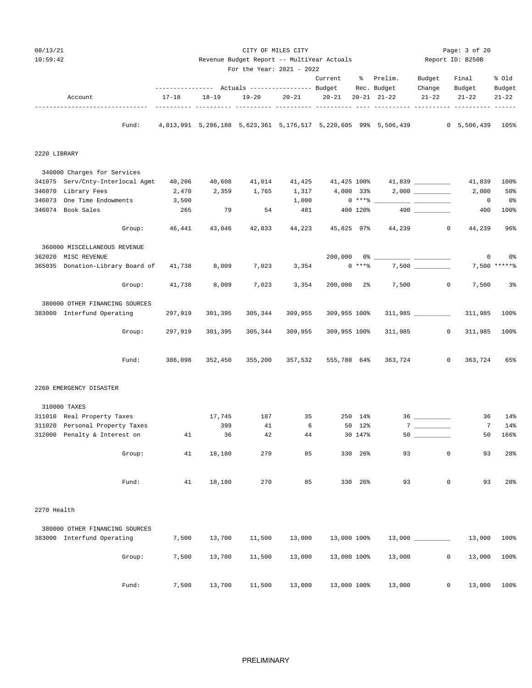| 08/13/21<br>10:59:42             |        |           | Revenue Budget Report -- MultiYear Actuals | CITY OF MILES CITY                                                     |         |              |            | Page: 3 of 20<br>Report ID: B250B                               |                                                                                                                                                                                                                                                                                                                                                                                                                                                                                   |                       |                     |
|----------------------------------|--------|-----------|--------------------------------------------|------------------------------------------------------------------------|---------|--------------|------------|-----------------------------------------------------------------|-----------------------------------------------------------------------------------------------------------------------------------------------------------------------------------------------------------------------------------------------------------------------------------------------------------------------------------------------------------------------------------------------------------------------------------------------------------------------------------|-----------------------|---------------------|
|                                  |        |           |                                            | For the Year: 2021 - 2022                                              |         | Current      |            | % Prelim.                                                       | Budget                                                                                                                                                                                                                                                                                                                                                                                                                                                                            | Final                 | % old               |
| Account                          |        | $17 - 18$ | $18 - 19$<br>----- ---------- ---          | --------------- Actuals ---------------- Budget<br>19-20<br>----- ---- | 20-21   | $20 - 21$    |            | Rec. Budget<br>$20 - 21$ $21 - 22$                              | Change<br>$21 - 22$                                                                                                                                                                                                                                                                                                                                                                                                                                                               | Budget<br>$21 - 22$   | Budget<br>$21 - 22$ |
|                                  | Fund:  |           |                                            |                                                                        |         |              |            | 4,813,991 5,286,188 5,623,361 5,176,517 5,220,605 99% 5,506,439 |                                                                                                                                                                                                                                                                                                                                                                                                                                                                                   | 0, 5, 506, 439, 1058  |                     |
| 2220 LIBRARY                     |        |           |                                            |                                                                        |         |              |            |                                                                 |                                                                                                                                                                                                                                                                                                                                                                                                                                                                                   |                       |                     |
| 340000 Charges for Services      |        |           |                                            |                                                                        |         |              |            |                                                                 |                                                                                                                                                                                                                                                                                                                                                                                                                                                                                   |                       |                     |
| 341075 Serv/Cnty-Interlocal Agmt |        | 40,206    | 40,608                                     | 41,014                                                                 | 41,425  |              |            |                                                                 |                                                                                                                                                                                                                                                                                                                                                                                                                                                                                   | 41,839                | 100%                |
| 346070 Library Fees              |        | 2,470     | 2,359                                      | 1,765                                                                  | 1,317   | $4,000$ 33%  |            |                                                                 |                                                                                                                                                                                                                                                                                                                                                                                                                                                                                   | 2,000                 | 50%                 |
| 346073 One Time Endowments       |        | 3,500     |                                            |                                                                        | 1,000   |              | $0***$ $*$ |                                                                 |                                                                                                                                                                                                                                                                                                                                                                                                                                                                                   | $\overline{0}$        | 0 <sup>o</sup>      |
| 346074 Book Sales                |        | 265       | 79                                         | 54                                                                     | 481     |              | 400 120%   |                                                                 |                                                                                                                                                                                                                                                                                                                                                                                                                                                                                   | 400                   | 100%                |
|                                  | Group: | 46,441    | 43,046                                     | 42,833                                                                 | 44,223  | 45,825 97%   |            | 44,239                                                          |                                                                                                                                                                                                                                                                                                                                                                                                                                                                                   | $\circ$<br>44,239     | 96%                 |
| 360000 MISCELLANEOUS REVENUE     |        |           |                                            |                                                                        |         |              |            |                                                                 |                                                                                                                                                                                                                                                                                                                                                                                                                                                                                   |                       |                     |
| 362020 MISC REVENUE              |        |           |                                            |                                                                        |         | 200,000      |            |                                                                 | $\frac{1}{1-\alpha}=\frac{1}{1-\alpha}=\frac{1}{1-\alpha}=\frac{1}{1-\alpha}=\frac{1}{1-\alpha}=\frac{1}{1-\alpha}=\frac{1}{1-\alpha}=\frac{1}{1-\alpha}=\frac{1}{1-\alpha}=\frac{1}{1-\alpha}=\frac{1}{1-\alpha}=\frac{1}{1-\alpha}=\frac{1}{1-\alpha}=\frac{1}{1-\alpha}=\frac{1}{1-\alpha}=\frac{1}{1-\alpha}=\frac{1}{1-\alpha}=\frac{1}{1-\alpha}=\frac{1}{1-\alpha}=\frac{1}{1-\alpha}=\frac{1}{1-\alpha}=\frac{1}{1-\alpha}=\frac{1}{1-\alpha}=\frac{1}{1-\alpha}=\frac{1$ | 0                     | 0%                  |
| 365035 Donation-Library Board of |        | 41,738    | 8,009                                      | 7,023                                                                  | 3,354   |              | $0***8$    |                                                                 |                                                                                                                                                                                                                                                                                                                                                                                                                                                                                   |                       | 7,500 ******        |
|                                  | Group: | 41,738    | 8,009                                      | 7,023                                                                  | 3,354   | 200,000 2%   |            | 7,500                                                           |                                                                                                                                                                                                                                                                                                                                                                                                                                                                                   | $\mathbf{0}$<br>7,500 | 3%                  |
| 380000 OTHER FINANCING SOURCES   |        |           |                                            |                                                                        |         |              |            |                                                                 |                                                                                                                                                                                                                                                                                                                                                                                                                                                                                   |                       |                     |
| 383000 Interfund Operating       |        | 297,919   | 301,395                                    | 305,344                                                                | 309,955 | 309,955 100% |            |                                                                 |                                                                                                                                                                                                                                                                                                                                                                                                                                                                                   | 311,985               | 100%                |
|                                  | Group: | 297,919   | 301,395                                    | 305,344                                                                | 309,955 | 309,955 100% |            | 311,985                                                         |                                                                                                                                                                                                                                                                                                                                                                                                                                                                                   | $\circ$<br>311,985    | 100%                |
|                                  | Fund:  | 386,098   | 352,450                                    | 355,200                                                                | 357,532 | 555,780 64%  |            | 363,724                                                         |                                                                                                                                                                                                                                                                                                                                                                                                                                                                                   | $\circ$<br>363,724    | 65%                 |
| 2260 EMERGENCY DISASTER          |        |           |                                            |                                                                        |         |              |            |                                                                 |                                                                                                                                                                                                                                                                                                                                                                                                                                                                                   |                       |                     |
| 310000 TAXES                     |        |           |                                            |                                                                        |         |              |            |                                                                 |                                                                                                                                                                                                                                                                                                                                                                                                                                                                                   |                       |                     |
| 311010 Real Property Taxes       |        |           | 17,745                                     | 187                                                                    | 35      |              | 250 14%    |                                                                 |                                                                                                                                                                                                                                                                                                                                                                                                                                                                                   | 36                    | 14%                 |
| 311020 Personal Property Taxes   |        |           | 399                                        | 41                                                                     | 6       |              | 50 12%     |                                                                 |                                                                                                                                                                                                                                                                                                                                                                                                                                                                                   | 7                     | 14%                 |
| 312000 Penalty & Interest on     |        | 41        | 36                                         | 42                                                                     | 44      |              | 30 147%    | $50 -$                                                          |                                                                                                                                                                                                                                                                                                                                                                                                                                                                                   | 50                    | 166%                |
|                                  | Group: | 41        | 18,180                                     | 270                                                                    | 85      |              | 330 26%    | 93                                                              |                                                                                                                                                                                                                                                                                                                                                                                                                                                                                   | $\mathbb O$<br>93     | 28%                 |
|                                  | Fund:  | 41        | 18,180                                     | 270                                                                    | 85      |              | 330 26%    | 93                                                              |                                                                                                                                                                                                                                                                                                                                                                                                                                                                                   | 0<br>93               | 28%                 |
|                                  |        |           |                                            |                                                                        |         |              |            |                                                                 |                                                                                                                                                                                                                                                                                                                                                                                                                                                                                   |                       |                     |
| 2270 Health                      |        |           |                                            |                                                                        |         |              |            |                                                                 |                                                                                                                                                                                                                                                                                                                                                                                                                                                                                   |                       |                     |
| 380000 OTHER FINANCING SOURCES   |        |           |                                            |                                                                        |         |              |            |                                                                 |                                                                                                                                                                                                                                                                                                                                                                                                                                                                                   |                       |                     |
| 383000 Interfund Operating       |        | 7,500     | 13,700                                     | 11,500                                                                 | 13,000  | 13,000 100%  |            |                                                                 |                                                                                                                                                                                                                                                                                                                                                                                                                                                                                   | 13,000                | 100%                |
|                                  | Group: | 7,500     | 13,700                                     | 11,500                                                                 | 13,000  | 13,000 100%  |            | 13,000                                                          |                                                                                                                                                                                                                                                                                                                                                                                                                                                                                   | 0<br>13,000           | 100%                |
|                                  |        |           |                                            |                                                                        |         |              |            |                                                                 |                                                                                                                                                                                                                                                                                                                                                                                                                                                                                   |                       |                     |
|                                  | Fund:  | 7,500     | 13,700                                     | 11,500                                                                 | 13,000  | 13,000 100%  |            | 13,000                                                          |                                                                                                                                                                                                                                                                                                                                                                                                                                                                                   | 13,000<br>$\mathbf 0$ | 100%                |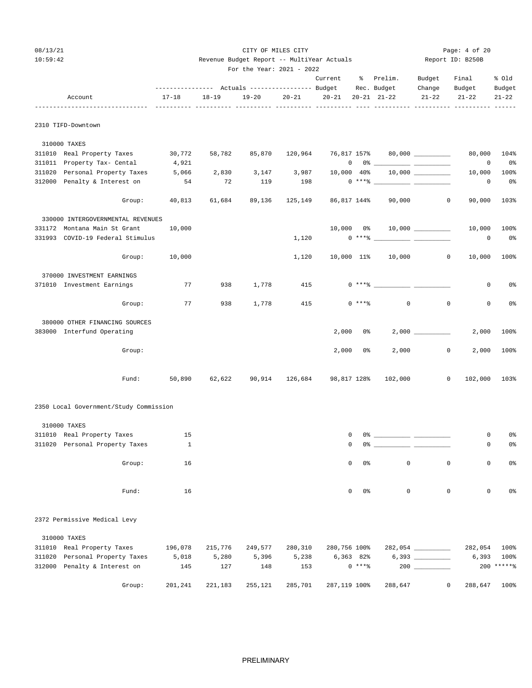| 08/13/21 | CITY OF MILES CITY                         | Page: $4$ of 20  |
|----------|--------------------------------------------|------------------|
| 10:59:42 | Revenue Budget Report -- MultiYear Actuals | Report ID: B250B |
|          | For the Year: $2021 - 2022$                |                  |

|                                        | --------------- Actuals ---------------- Budget |           |         |                | Current      |                                | % Prelim.<br>Rec. Budget                  | Budget<br>Change     | Final<br>Budget            | % old<br>Budget      |
|----------------------------------------|-------------------------------------------------|-----------|---------|----------------|--------------|--------------------------------|-------------------------------------------|----------------------|----------------------------|----------------------|
| Account                                | $17 - 18$                                       | $18 - 19$ | 19-20   | $20 - 21$      | $20 - 21$    |                                | $20 - 21$ $21 - 22$                       | $21 - 22$            | $21 - 22$                  | $21 - 22$            |
| 2310 TIFD-Downtown                     |                                                 |           |         |                |              |                                |                                           |                      |                            |                      |
| 310000 TAXES                           |                                                 |           |         |                |              |                                |                                           |                      |                            |                      |
| 311010 Real Property Taxes 30,772      |                                                 | 58,782    |         | 85,870 120,964 | 76,817 157%  |                                |                                           | $80,000$ ___________ | 80,000                     | 104%                 |
| 311011 Property Tax- Cental            | 4,921                                           |           |         |                |              | $0\qquad 0$ %                  |                                           |                      | 0                          | 0%                   |
| 311020 Personal Property Taxes         | 5,066                                           | 2,830     | 3,147   | 3,987          | 10,000 40%   |                                |                                           |                      | 10,000                     | 100%                 |
| 312000 Penalty & Interest on           | 54                                              | 72        | 119     | 198            |              |                                |                                           |                      | $\circ$                    | 0 <sub>8</sub>       |
| Group:                                 | 40,813                                          | 61,684    | 89,136  | 125,149        | 86,817 144%  |                                | 90,000                                    |                      | $\circ$<br>90,000          | 103%                 |
| 330000 INTERGOVERNMENTAL REVENUES      |                                                 |           |         |                |              |                                |                                           |                      |                            |                      |
| 331172 Montana Main St Grant           | 10,000                                          |           |         |                |              |                                | $10,000$ $0$ $8$ $10,000$ $\frac{1}{200}$ |                      | 10,000                     | 100%                 |
| 331993 COVID-19 Federal Stimulus       |                                                 |           |         | 1,120          |              |                                | $0***$ $\longleftarrow$                   |                      | 0                          | 0 <sub>8</sub>       |
| Group:                                 | 10,000                                          |           |         | 1,120          |              |                                | 10,000 11% 10,000                         |                      | $\circ$<br>10,000          | 100%                 |
| 370000 INVESTMENT EARNINGS             |                                                 |           |         |                |              |                                |                                           |                      |                            |                      |
| 371010 Investment Earnings             | 77                                              | 938       | 1,778   | 415            |              |                                | $0***$                                    |                      | 0                          | 0%                   |
| Group:                                 | 77                                              | 938       | 1,778   | 415            |              | $0***8$                        | $\mathbf 0$                               |                      | $\mathbf 0$<br>0           | 0%                   |
| 380000 OTHER FINANCING SOURCES         |                                                 |           |         |                |              |                                |                                           |                      |                            |                      |
| 383000 Interfund Operating             |                                                 |           |         |                | 2,000        | 0%                             |                                           | $2,000$ _________    | 2,000                      | 100%                 |
| Group:                                 |                                                 |           |         |                | 2,000        | 0%                             | 2,000                                     |                      | $\mathbf 0$<br>2,000       | 100%                 |
| Fund:                                  | 50,890                                          | 62,622    |         | 90,914 126,684 | 98,817 128%  |                                | 102,000                                   |                      | 0<br>102,000               | 103%                 |
| 2350 Local Government/Study Commission |                                                 |           |         |                |              |                                |                                           |                      |                            |                      |
| 310000 TAXES                           |                                                 |           |         |                |              |                                |                                           |                      |                            |                      |
| 311010 Real Property Taxes             | 15                                              |           |         |                | 0            |                                |                                           |                      | 0                          | 0%                   |
| 311020 Personal Property Taxes         | $\mathbf{1}$                                    |           |         |                | $\mathbf 0$  |                                |                                           |                      | 0                          | 0%                   |
|                                        |                                                 |           |         |                |              |                                |                                           |                      |                            |                      |
| Group:                                 | 16                                              |           |         |                |              | $\mathbf{0}$<br>0 <sup>8</sup> | $\circ$                                   |                      | $\mathbb O$<br>$\mathbf 0$ | 0 <sub>8</sub>       |
| Fund:                                  | 16                                              |           |         |                |              | $\mathbf{0}$<br>0%             | $\mathbf 0$                               |                      | $\mathbf{0}$<br>0          | 0%                   |
| 2372 Permissive Medical Levy           |                                                 |           |         |                |              |                                |                                           |                      |                            |                      |
|                                        |                                                 |           |         |                |              |                                |                                           |                      |                            |                      |
| 310000 TAXES                           |                                                 |           |         |                |              |                                |                                           |                      |                            |                      |
| 311010 Real Property Taxes             | 196,078                                         | 215,776   | 249,577 | 280,310        | 280,756 100% |                                |                                           |                      | 282,054                    | 100%                 |
| 311020<br>Personal Property Taxes      | 5,018                                           | 5,280     | 5,396   | 5,238          |              | $6,363$ $82\%$                 |                                           |                      | 6,393                      | 100%<br>$200$ *****% |
| 312000 Penalty & Interest on           | 145                                             | 127       | 148     | 153            |              | $0***8$                        |                                           |                      |                            |                      |

Group: 201,241 221,183 255,121 285,701 287,119 100% 288,647 0 288,647 100%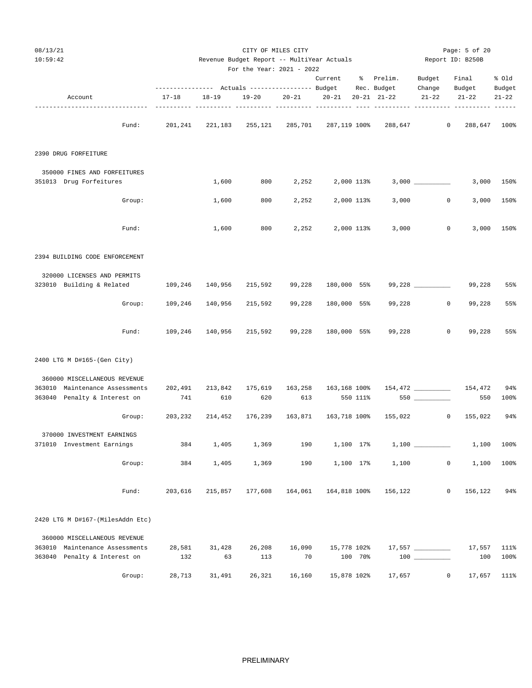| 08/13/21<br>10:59:42             |                              |         |                                   | CITY OF MILES CITY        |           | Revenue Budget Report -- MultiYear Actuals |          |                     |                 | Page: 5 of 20<br>Report ID: B250B |              |
|----------------------------------|------------------------------|---------|-----------------------------------|---------------------------|-----------|--------------------------------------------|----------|---------------------|-----------------|-----------------------------------|--------------|
|                                  |                              |         |                                   | For the Year: 2021 - 2022 |           | Current                                    |          | % Prelim.           | Budget          | Final                             | % old        |
|                                  |                              |         |                                   |                           |           |                                            |          | Rec. Budget         | Change          | Budget                            | Budget       |
| Account                          | $17 - 18$<br>$- - - - - - -$ |         | $18 - 19$<br>---- ---------- ---- | 19-20<br>------ ----      | $20 - 21$ | $20 - 21$                                  |          | $20 - 21$ $21 - 22$ | $21 - 22$       | $21 - 22$                         | $21 - 22$    |
|                                  | Fund:                        | 201,241 | 221,183                           | 255,121                   | 285,701   | 287,119 100%                               |          | 288,647             |                 | $\mathbf{0}$                      | 288,647 100% |
| 2390 DRUG FORFEITURE             |                              |         |                                   |                           |           |                                            |          |                     |                 |                                   |              |
| 350000 FINES AND FORFEITURES     |                              |         |                                   |                           |           |                                            |          |                     |                 |                                   |              |
| 351013 Drug Forfeitures          |                              |         | 1,600                             | 800                       | 2,252     | 2,000 113%                                 |          |                     |                 | 3,000                             | 150%         |
|                                  | Group:                       |         | 1,600                             | 800                       | 2,252     | 2,000 113%                                 |          | 3,000               |                 | 0<br>3,000                        | 150%         |
|                                  | Fund:                        |         | 1,600                             | 800                       | 2,252     | 2,000 113%                                 |          | 3,000               |                 | 0<br>3,000                        | 150%         |
| 2394 BUILDING CODE ENFORCEMENT   |                              |         |                                   |                           |           |                                            |          |                     |                 |                                   |              |
| 320000 LICENSES AND PERMITS      |                              |         |                                   |                           |           |                                            |          |                     |                 |                                   |              |
| 323010 Building & Related        |                              | 109,246 | 140,956                           | 215,592                   | 99,228    | 180,000 55%                                |          |                     | 99,228 ________ | 99,228                            | 55%          |
|                                  | Group:                       | 109,246 | 140,956                           | 215,592                   | 99,228    | 180,000 55%                                |          | 99,228              |                 | 0<br>99,228                       | 55%          |
|                                  | Fund:                        | 109,246 | 140,956                           | 215,592                   | 99,228    | 180,000 55%                                |          | 99,228              |                 | $\mathsf{O}$<br>99,228            | 55%          |
| 2400 LTG M D#165-(Gen City)      |                              |         |                                   |                           |           |                                            |          |                     |                 |                                   |              |
| 360000 MISCELLANEOUS REVENUE     |                              |         |                                   |                           |           |                                            |          |                     |                 |                                   |              |
| 363010 Maintenance Assessments   |                              | 202,491 | 213,842                           | 175,619                   | 163,258   | 163,168 100%                               |          |                     |                 | 154,472                           | 94%          |
| 363040 Penalty & Interest on     |                              | 741     | 610                               | 620                       | 613       |                                            | 550 111% |                     |                 | 550                               | 100%         |
|                                  | Group:                       | 203,232 | 214,452                           | 176,239                   | 163,871   | 163,718 100%                               |          | 155,022             |                 | 155,022<br>$\circ$                | 94%          |
| 370000 INVESTMENT EARNINGS       |                              |         |                                   |                           |           |                                            |          |                     |                 |                                   |              |
| 371010 Investment Earnings       |                              | 384     | 1,405                             | 1,369                     | 190       | 1,100 17%                                  |          |                     |                 | 1,100                             | 100%         |
|                                  | Group:                       | 384     | 1,405                             | 1,369                     | 190       | 1,100 17%                                  |          | 1,100               |                 | 0<br>1,100                        | 100%         |
|                                  | Fund:                        | 203,616 | 215,857                           | 177,608                   | 164,061   | 164,818 100%                               |          | 156,122             |                 | 0<br>156,122                      | 94%          |
| 2420 LTG M D#167-(MilesAddn Etc) |                              |         |                                   |                           |           |                                            |          |                     |                 |                                   |              |
| 360000 MISCELLANEOUS REVENUE     |                              |         |                                   |                           |           |                                            |          |                     |                 |                                   |              |
| 363010 Maintenance Assessments   |                              | 28,581  | 31,428                            | 26,208                    | 16,090    | 15,778 102%                                |          |                     |                 | 17,557                            | 111%         |
| 363040 Penalty & Interest on     |                              | 132     | 63                                | 113                       | 70        |                                            | 100 70%  |                     |                 | 100                               | 100%         |
|                                  | Group:                       | 28,713  | 31,491                            | 26,321                    | 16,160    | 15,878 102%                                |          | 17,657              |                 | $\mathbf 0$<br>17,657             | 111%         |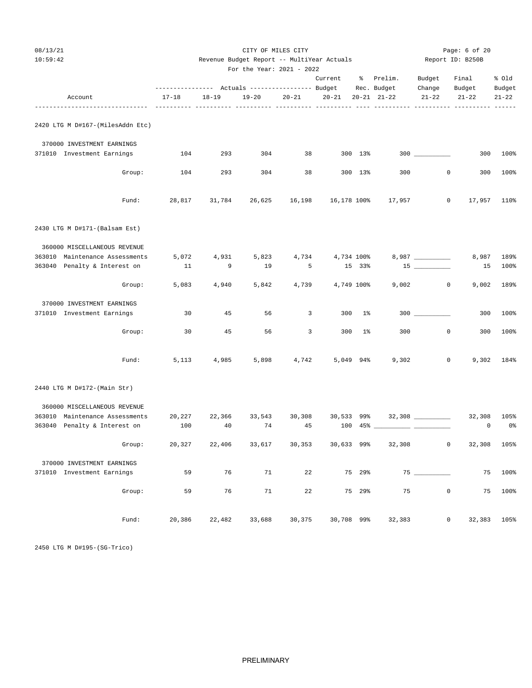| 08/13/21<br>10:59:42                                           |             | Revenue Budget Report -- MultiYear Actuals                   | Page: 6 of 20<br>Report ID: B250B |                         |                  |          |                                    |                     |                               |                     |
|----------------------------------------------------------------|-------------|--------------------------------------------------------------|-----------------------------------|-------------------------|------------------|----------|------------------------------------|---------------------|-------------------------------|---------------------|
|                                                                |             |                                                              | For the Year: 2021 - 2022         |                         |                  |          |                                    |                     |                               |                     |
|                                                                |             |                                                              |                                   |                         | Current          |          | % Prelim.                          | Budget              | Final                         | % old               |
| Account                                                        | $17 - 18$   | --------------- Actuals ---------------- Budget<br>$18 - 19$ | $19 - 20$                         | $20 - 21$               | $20 - 21$        |          | Rec. Budget<br>$20 - 21$ $21 - 22$ | Change<br>$21 - 22$ | Budget<br>$21 - 22$           | Budget<br>$21 - 22$ |
| 2420 LTG M D#167-(MilesAddn Etc)                               |             |                                                              |                                   |                         |                  |          |                                    |                     |                               |                     |
| 370000 INVESTMENT EARNINGS                                     |             |                                                              |                                   |                         |                  |          |                                    |                     |                               |                     |
| 371010 Investment Earnings                                     | 104         | 293                                                          | 304                               | 38                      |                  | 300 13%  |                                    |                     | 300                           | 100%                |
| Group:                                                         | 104         | 293                                                          | 304                               | 38                      |                  | 300 13%  | 300                                |                     | $\circ$<br>300                | 100%                |
| Fund:                                                          | 28,817      | 31,784                                                       | 26,625                            | 16,198                  |                  |          | 16,178 100% 17,957                 |                     | $\circ$<br>17,957             | 110%                |
| 2430 LTG M D#171-(Balsam Est)                                  |             |                                                              |                                   |                         |                  |          |                                    |                     |                               |                     |
| 360000 MISCELLANEOUS REVENUE                                   |             |                                                              |                                   |                         |                  |          |                                    |                     |                               |                     |
| 363010 Maintenance Assessments<br>363040 Penalty & Interest on | 5,072<br>11 | 4,931<br>9                                                   | 5,823<br>19                       | $5^{\circ}$             | 4,734 4,734 100% | 15 33%   |                                    | $15$ _________      | 8,987<br>15                   | 189%<br>100%        |
|                                                                |             |                                                              |                                   |                         |                  |          |                                    |                     |                               |                     |
| Group:                                                         | 5,083       | 4,940                                                        | 5,842                             | 4,739                   | 4,749 100%       |          | 9,002                              |                     | $\circ$<br>9,002              | 189%                |
| 370000 INVESTMENT EARNINGS<br>371010 Investment Earnings       | 30          | 45                                                           | 56                                | $\overline{\mathbf{3}}$ |                  | 300 1%   |                                    |                     | 300                           | 100%                |
|                                                                |             |                                                              |                                   |                         |                  |          |                                    |                     |                               |                     |
| Group:                                                         | 30          | 45                                                           | 56                                | $\overline{3}$          |                  | $300$ 1% | 300                                |                     | $\mathbf 0$<br>300            | 100%                |
| Fund:                                                          | 5,113       | 4,985                                                        | 5,898                             | 4,742                   | 5,049 94%        |          | 9,302                              |                     | $\circ$<br>9,302              | 184%                |
| 2440 LTG M D#172-(Main Str)                                    |             |                                                              |                                   |                         |                  |          |                                    |                     |                               |                     |
| 360000 MISCELLANEOUS REVENUE                                   |             |                                                              |                                   |                         |                  |          |                                    |                     |                               |                     |
| 363010 Maintenance Assessments                                 | 20,227      | 22,366                                                       | 33,543                            | 30,308                  |                  |          | 30,533 99% 32,308 __________       |                     | 32,308                        | 105%                |
| 363040 Penalty & Interest on                                   | 100         | 40                                                           | 74                                | 45                      |                  |          |                                    |                     | 0                             | 0%                  |
| Group:                                                         | 20,327      | 22,406                                                       | 33,617                            | 30,353                  | 30,633 99%       |          | 32,308                             |                     | $\mathbf 0$<br>32,308         | 105%                |
| 370000 INVESTMENT EARNINGS                                     |             |                                                              |                                   |                         |                  |          |                                    |                     |                               |                     |
| 371010 Investment Earnings                                     | 59          | 76                                                           | 71                                | 22                      |                  | 75 29%   |                                    |                     | 75                            | 100%                |
| Group:                                                         | 59          | 76                                                           | 71                                | 22                      |                  | 75 29%   | 75                                 |                     | $\mathbb O$<br>75             | 100%                |
| Fund:                                                          | 20,386      | 22,482                                                       | 33,688                            | 30,375                  | 30,708 99%       |          | 32,383                             |                     | $\mathsf{O}\xspace$<br>32,383 | 105%                |

2450 LTG M D#195-(SG-Trico)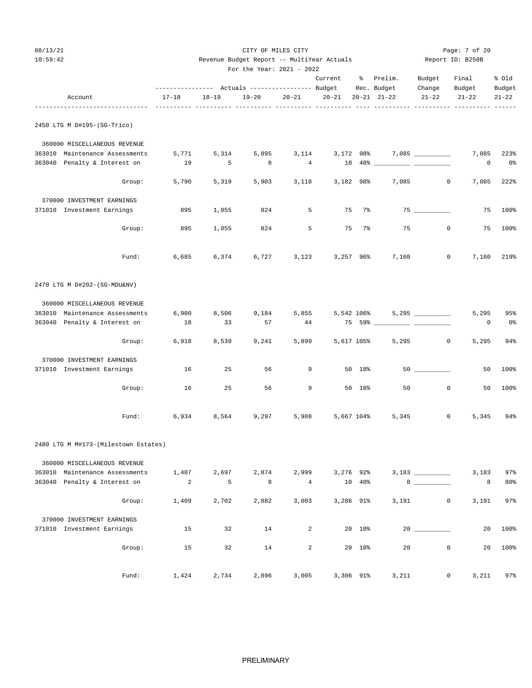| 087 | 13<br>$\prime$ | 21 |
|-----|----------------|----|
|-----|----------------|----|

| 08/13/21                                  |           |           |                                            | CITY OF MILES CITY |           |             |                                                                                                             |                     | Page: 7 of 20             |           |
|-------------------------------------------|-----------|-----------|--------------------------------------------|--------------------|-----------|-------------|-------------------------------------------------------------------------------------------------------------|---------------------|---------------------------|-----------|
| 10:59:42                                  |           |           | Revenue Budget Report -- MultiYear Actuals |                    |           |             |                                                                                                             |                     | Report ID: B250B          |           |
|                                           |           |           | For the Year: 2021 - 2022                  |                    |           |             |                                                                                                             |                     |                           |           |
|                                           |           |           |                                            |                    | Current   |             | % Prelim.                                                                                                   | Budget              | Final                     | % old     |
|                                           | $17 - 18$ |           |                                            |                    |           |             | Rec. Budget                                                                                                 | Change              | Budget                    | Budget    |
| Account<br>------------------------------ |           | $18 - 19$ | $19 - 20$                                  | $20 - 21$          | $20 - 21$ |             | $20 - 21$ $21 - 22$                                                                                         | $21 - 22$           | $21 - 22$                 | $21 - 22$ |
| 2450 LTG M D#195-(SG-Trico)               |           |           |                                            |                    |           |             |                                                                                                             |                     |                           |           |
| 360000 MISCELLANEOUS REVENUE              |           |           |                                            |                    |           |             |                                                                                                             |                     |                           |           |
| 363010 Maintenance Assessments            | 5,771     | 5,314     | 5,895                                      | 3,114              |           | 3,172 98%   |                                                                                                             | $7,085$ ___________ | 7,085                     | 223%      |
| 363040 Penalty & Interest on              | 19        | 5         | 8                                          | 4                  |           |             | $\begin{tabular}{c} 10 & 40* \end{tabular} \begin{tabular}{c} \textbf{---} & \textbf{---} \\ \end{tabular}$ |                     | 0                         | 0%        |
| Group:                                    | 5,790     | 5,319     | 5,903                                      | 3,118              |           | 3,182 98%   | 7,085                                                                                                       |                     | $\mathbf{0}$<br>7,085     | 222%      |
| 370000 INVESTMENT EARNINGS                |           |           |                                            |                    |           |             |                                                                                                             |                     |                           |           |
| 371010 Investment Earnings                | 895       | 1,055     | 824                                        | 5                  | 75        | 7%          |                                                                                                             |                     | 75                        | 100%      |
| Group:                                    | 895       | 1,055     | 824                                        | 5                  | 75        | 7%          | 75                                                                                                          |                     | $\mathbf{0}$<br>75        | 100%      |
| Fund:                                     | 6,685     | 6,374     | 6,727                                      | 3,123              |           | $3,257$ 96% | 7,160                                                                                                       |                     | 0<br>7,160                | 219%      |
| 2470 LTG M D#202-(SG-MDU&NV)              |           |           |                                            |                    |           |             |                                                                                                             |                     |                           |           |
| 360000 MISCELLANEOUS REVENUE              |           |           |                                            |                    |           |             |                                                                                                             |                     |                           |           |
| 363010 Maintenance Assessments            | 6,900     | 8,506     | 9,184                                      | 5,855              |           | 5,542 106%  |                                                                                                             |                     | 5,295                     | 95%       |
| 363040 Penalty & Interest on              | 18        | 33        | 57                                         | 44                 |           |             | 75 59% ______________ _____                                                                                 |                     | 0                         | 0%        |
| Group:                                    | 6,918     | 8,539     | 9,241                                      | 5,899              |           | 5,617 105%  | 5,295                                                                                                       | 0                   | 5,295                     | 94%       |
| 370000 INVESTMENT EARNINGS                |           |           |                                            |                    |           |             |                                                                                                             |                     |                           |           |
| 371010 Investment Earnings                | 16        | 25        | 56                                         | 9                  |           | 50 18%      |                                                                                                             | $50$ __________     | 50                        | 100%      |
| Group:                                    | 16        | 25        | 56                                         | 9                  |           | 50 18%      | 50                                                                                                          | $\mathbf 0$         | 50                        | 100%      |
| Fund:                                     | 6,934     | 8,564     | 9,297                                      | 5,908              |           | 5,667 104%  | 5,345                                                                                                       |                     | 5,345<br>0                | 94%       |
| 2480 LTG M M#173-(Milestown Estates)      |           |           |                                            |                    |           |             |                                                                                                             |                     |                           |           |
| 360000 MISCELLANEOUS REVENUE              |           |           |                                            |                    |           |             |                                                                                                             |                     |                           |           |
| 363010 Maintenance Assessments            | 1,407     | 2,697     | 2,874                                      | 2,999              |           | 3,276 92%   |                                                                                                             |                     | 3,183                     | 97%       |
| 363040 Penalty & Interest on              | 2         | 5         | 8                                          | $\overline{4}$     |           | 10 40%      |                                                                                                             |                     | 8                         | 80%       |
| Group:                                    | 1,409     | 2,702     | 2,882                                      | 3,003              |           | 3,286 91%   | 3,191                                                                                                       |                     | 0<br>3,191                | 97%       |
| 370000 INVESTMENT EARNINGS                |           |           |                                            |                    |           |             |                                                                                                             |                     |                           |           |
| 371010 Investment Earnings                | 15        | 32        | 14                                         | $\overline{a}$     |           | 20 10%      |                                                                                                             |                     | 20                        | 100%      |
| Group:                                    | 15        | 32        | 14                                         | $\overline{a}$     |           | 20 10%      | 20                                                                                                          |                     | $\mathsf{O}\xspace$<br>20 | 100%      |
| Fund:                                     | 1,424     | 2,734     | 2,896                                      | 3,005              |           | 3,306 91%   | 3,211                                                                                                       |                     | 3,211<br>0                | 97%       |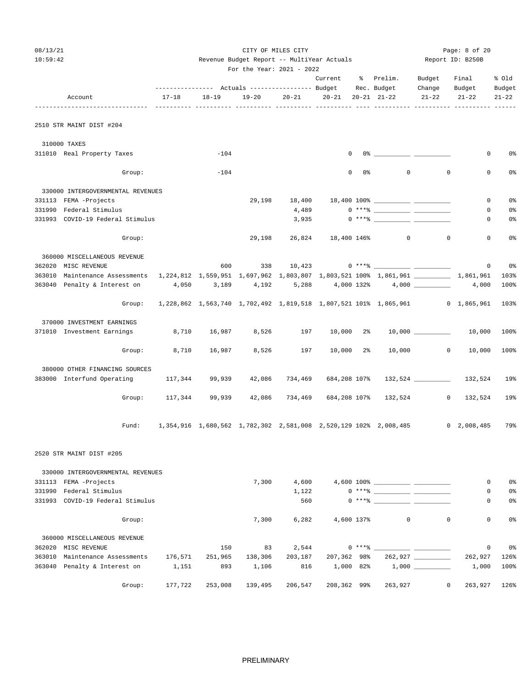| 08/13/21 |                                                                                                                      |                                                                              |                | CITY OF MILES CITY                         |           | Page: 8 of 20        |                |                                                                                                                                                                                                                                                                                                                        |              |                     |           |
|----------|----------------------------------------------------------------------------------------------------------------------|------------------------------------------------------------------------------|----------------|--------------------------------------------|-----------|----------------------|----------------|------------------------------------------------------------------------------------------------------------------------------------------------------------------------------------------------------------------------------------------------------------------------------------------------------------------------|--------------|---------------------|-----------|
| 10:59:42 |                                                                                                                      |                                                                              |                | Revenue Budget Report -- MultiYear Actuals |           |                      |                |                                                                                                                                                                                                                                                                                                                        |              | Report ID: B250B    |           |
|          |                                                                                                                      |                                                                              |                | For the Year: 2021 - 2022                  |           |                      |                |                                                                                                                                                                                                                                                                                                                        |              |                     |           |
|          |                                                                                                                      |                                                                              |                |                                            |           | Current              |                | % Prelim.                                                                                                                                                                                                                                                                                                              | Budget       | Final               | % old     |
|          |                                                                                                                      |                                                                              |                |                                            |           |                      |                |                                                                                                                                                                                                                                                                                                                        | Change       | Budget              | Budget    |
|          | Account                                                                                                              | 17-18                                                                        | $18 - 19$      | 19-20                                      | $20 - 21$ | 20-21 20-21 21-22    |                |                                                                                                                                                                                                                                                                                                                        | $21 - 22$    | $21 - 22$           | $21 - 22$ |
|          | 2510 STR MAINT DIST #204                                                                                             |                                                                              |                |                                            |           |                      |                |                                                                                                                                                                                                                                                                                                                        |              |                     |           |
|          | 310000 TAXES                                                                                                         |                                                                              |                |                                            |           |                      |                |                                                                                                                                                                                                                                                                                                                        |              |                     |           |
|          | 311010 Real Property Taxes                                                                                           |                                                                              | $-104$         |                                            |           | $\mathbf 0$          |                | $0$ $\frac{1}{2}$ $\frac{1}{2}$ $\frac{1}{2}$ $\frac{1}{2}$ $\frac{1}{2}$ $\frac{1}{2}$ $\frac{1}{2}$ $\frac{1}{2}$ $\frac{1}{2}$ $\frac{1}{2}$ $\frac{1}{2}$ $\frac{1}{2}$ $\frac{1}{2}$ $\frac{1}{2}$ $\frac{1}{2}$ $\frac{1}{2}$ $\frac{1}{2}$ $\frac{1}{2}$ $\frac{1}{2}$ $\frac{1}{2}$ $\frac{1}{2}$ $\frac{1}{2$ |              | 0                   | 0%        |
|          | Group:                                                                                                               |                                                                              | $-104$         |                                            |           | $\mathbf 0$          | 0%             | 0                                                                                                                                                                                                                                                                                                                      | $\mathbf{0}$ | $\mathbf 0$         | 0%        |
|          | 330000 INTERGOVERNMENTAL REVENUES                                                                                    |                                                                              |                |                                            |           |                      |                |                                                                                                                                                                                                                                                                                                                        |              |                     |           |
|          | 331113 FEMA -Projects                                                                                                |                                                                              |                | 29,198                                     |           |                      |                |                                                                                                                                                                                                                                                                                                                        |              | 0                   | 0%        |
|          | 331990 Federal Stimulus                                                                                              |                                                                              |                |                                            | 4,489     |                      |                |                                                                                                                                                                                                                                                                                                                        |              | 0                   | 0%        |
|          | 331993 COVID-19 Federal Stimulus                                                                                     |                                                                              |                |                                            | 3,935     |                      |                |                                                                                                                                                                                                                                                                                                                        |              | 0                   | 0%        |
|          | Group:                                                                                                               |                                                                              |                | 29,198                                     |           | 26,824 18,400 146%   |                | $\overline{0}$                                                                                                                                                                                                                                                                                                         | $\circ$      | $\mathbf 0$         | 0%        |
|          | 360000 MISCELLANEOUS REVENUE                                                                                         |                                                                              |                |                                            |           |                      |                |                                                                                                                                                                                                                                                                                                                        |              |                     |           |
|          | 362020 MISC REVENUE                                                                                                  |                                                                              | 600            |                                            |           |                      |                |                                                                                                                                                                                                                                                                                                                        |              | $\mathbf{0}$        | 0 %       |
|          | 363010 Maintenance Assessments 1,224,812 1,559,951 1,697,962 1,803,807 1,803,521 100% 1,861,961 __________ 1,861,961 |                                                                              |                |                                            |           |                      |                |                                                                                                                                                                                                                                                                                                                        |              |                     | 103%      |
|          | 363040 Penalty & Interest on $4,050$ 3,189 $4,192$ 5,288 $4,000$ 132% $4,000$ ________                               |                                                                              |                |                                            |           |                      |                |                                                                                                                                                                                                                                                                                                                        |              | 4,000               | 100%      |
|          | Group:                                                                                                               | 1,228,862 1,563,740 1,702,492 1,819,518 1,807,521 101% 1,865,961 0 1,865,961 |                |                                            |           |                      |                |                                                                                                                                                                                                                                                                                                                        |              |                     | 103%      |
|          | 370000 INVESTMENT EARNINGS                                                                                           |                                                                              |                |                                            |           |                      |                |                                                                                                                                                                                                                                                                                                                        |              |                     |           |
|          | 371010 Investment Earnings                                                                                           |                                                                              | 8,710 16,987   | 8,526                                      | 197       | $10,000$ 2%          |                |                                                                                                                                                                                                                                                                                                                        |              | 10,000              | 100%      |
|          | Group:                                                                                                               | 8,710                                                                        | 16,987         | 8,526                                      | 197       | 10,000               | 2 <sup>8</sup> |                                                                                                                                                                                                                                                                                                                        | 10,000 0     | 10,000              | 100%      |
|          | 380000 OTHER FINANCING SOURCES                                                                                       |                                                                              |                |                                            |           |                      |                |                                                                                                                                                                                                                                                                                                                        |              |                     |           |
|          | 383000 Interfund Operating                                                                                           | 117,344                                                                      | 99,939         | 42,086                                     | 734,469   | 684,208 107%         |                |                                                                                                                                                                                                                                                                                                                        |              | 132,524 132,524     | 19%       |
|          | Group:                                                                                                               |                                                                              | 117,344 99,939 | 42,086                                     |           | 734,469 684,208 107% |                |                                                                                                                                                                                                                                                                                                                        | 132,524 0    | 132,524             | 19%       |
|          | Fund:                                                                                                                | 1,354,916  1,680,562  1,782,302  2,581,008  2,520,129  102%  2,008,485       |                |                                            |           |                      |                |                                                                                                                                                                                                                                                                                                                        |              | $0 \quad 2,008,485$ | 79%       |
|          | 2520 STR MAINT DIST #205                                                                                             |                                                                              |                |                                            |           |                      |                |                                                                                                                                                                                                                                                                                                                        |              |                     |           |
|          | 330000 INTERGOVERNMENTAL REVENUES                                                                                    |                                                                              |                |                                            |           |                      |                |                                                                                                                                                                                                                                                                                                                        |              |                     |           |
|          | 331113 FEMA -Projects                                                                                                |                                                                              |                | 7,300                                      | 4,600     |                      |                |                                                                                                                                                                                                                                                                                                                        |              | 0                   | 0%        |
|          | 331990 Federal Stimulus                                                                                              |                                                                              |                |                                            | 1,122     |                      |                |                                                                                                                                                                                                                                                                                                                        |              | 0                   | 0%        |
|          | 331993 COVID-19 Federal Stimulus                                                                                     |                                                                              |                |                                            | 560       |                      |                |                                                                                                                                                                                                                                                                                                                        |              | 0                   | 0%        |
|          | Group:                                                                                                               |                                                                              |                | 7,300                                      | 6,282     |                      | 4,600 137%     | $\mathbf 0$                                                                                                                                                                                                                                                                                                            | $\mathbf 0$  | $\mathbf 0$         | 0%        |
|          | 360000 MISCELLANEOUS REVENUE                                                                                         |                                                                              |                |                                            |           |                      |                |                                                                                                                                                                                                                                                                                                                        |              |                     |           |
|          | 362020 MISC REVENUE                                                                                                  |                                                                              | 150            | 83                                         | 2,544     |                      |                |                                                                                                                                                                                                                                                                                                                        |              | 0                   | 0%        |
|          | 363010 Maintenance Assessments                                                                                       | 176,571                                                                      | 251,965        | 138,306                                    | 203,187   | 207,362 98%          |                |                                                                                                                                                                                                                                                                                                                        | 262,927      | 262,927             | 126%      |
|          | 363040 Penalty & Interest on                                                                                         | 1,151                                                                        | 893            | 1,106                                      | 816       | 1,000 82%            |                |                                                                                                                                                                                                                                                                                                                        |              | 1,000               | 100%      |

PRELIMINARY

Group: 177,722 253,008 139,495 206,547 208,362 99% 263,927 0 263,927 126%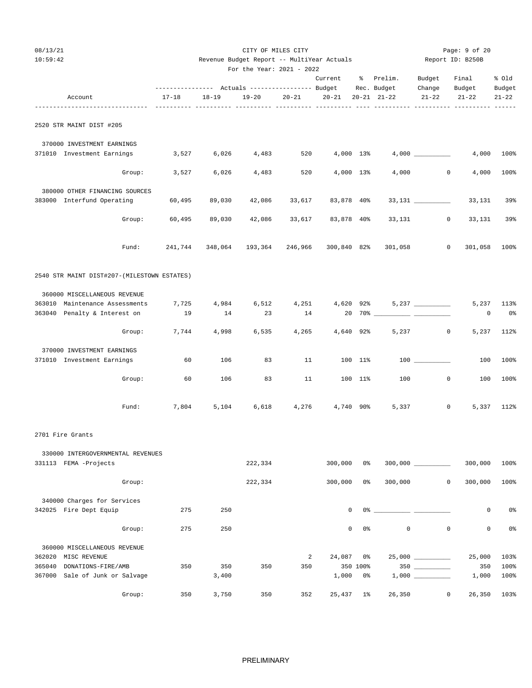| 08/13/21<br>10:59:42 |                                                                |        |           | Revenue Budget Report -- MultiYear Actuals | Page: 9 of 20<br>Report ID: B250B                                                                       |           |             |           |                                                                                                                                                                                                                                                                                                                        |                     |                     |                     |
|----------------------|----------------------------------------------------------------|--------|-----------|--------------------------------------------|---------------------------------------------------------------------------------------------------------|-----------|-------------|-----------|------------------------------------------------------------------------------------------------------------------------------------------------------------------------------------------------------------------------------------------------------------------------------------------------------------------------|---------------------|---------------------|---------------------|
|                      |                                                                |        |           |                                            | For the Year: 2021 - 2022                                                                               |           | Current     |           | % Prelim.                                                                                                                                                                                                                                                                                                              | Budget              | Final               | % Old               |
|                      | Account                                                        |        | $17 - 18$ | $18 - 19$                                  | --------------    Actuals ----------------    Budget                           Rec. Budget<br>$19 - 20$ | $20 - 21$ | $20 - 21$   |           | $20 - 21$ $21 - 22$                                                                                                                                                                                                                                                                                                    | Change<br>$21 - 22$ | Budget<br>$21 - 22$ | Budget<br>$21 - 22$ |
|                      | 2520 STR MAINT DIST #205                                       |        |           |                                            |                                                                                                         |           |             |           |                                                                                                                                                                                                                                                                                                                        |                     |                     |                     |
|                      | 370000 INVESTMENT EARNINGS                                     |        |           |                                            |                                                                                                         |           |             |           |                                                                                                                                                                                                                                                                                                                        |                     |                     |                     |
|                      | 371010 Investment Earnings                                     |        | 3,527     | 6,026                                      | 4,483                                                                                                   | 520       |             | 4,000 13% |                                                                                                                                                                                                                                                                                                                        | 4,000               |                     | 4,000 100%          |
|                      |                                                                | Group: | 3,527     | 6,026                                      | 4,483                                                                                                   | 520       |             | 4,000 13% | 4,000                                                                                                                                                                                                                                                                                                                  | $\mathbf{0}$        | 4,000               | 100%                |
|                      | 380000 OTHER FINANCING SOURCES                                 |        |           |                                            |                                                                                                         |           |             |           |                                                                                                                                                                                                                                                                                                                        |                     |                     |                     |
|                      | 383000 Interfund Operating                                     |        | 60,495    | 89,030                                     | 42,086                                                                                                  | 33,617    | 83,878 40%  |           |                                                                                                                                                                                                                                                                                                                        | $33,131$ _________  | 33,131              | 39%                 |
|                      |                                                                | Group: | 60,495    | 89,030                                     | 42,086                                                                                                  | 33,617    | 83,878 40%  |           | 33,131                                                                                                                                                                                                                                                                                                                 | $\circ$             | 33,131              | 39%                 |
|                      |                                                                | Fund:  | 241,744   |                                            | 348,064 193,364                                                                                         | 246,966   | 300,840 82% |           | 301,058                                                                                                                                                                                                                                                                                                                | $\circ$             | 301,058 100%        |                     |
|                      | 2540 STR MAINT DIST#207-(MILESTOWN ESTATES)                    |        |           |                                            |                                                                                                         |           |             |           |                                                                                                                                                                                                                                                                                                                        |                     |                     |                     |
|                      |                                                                |        |           |                                            |                                                                                                         |           |             |           |                                                                                                                                                                                                                                                                                                                        |                     |                     |                     |
|                      | 360000 MISCELLANEOUS REVENUE<br>363010 Maintenance Assessments |        | 7,725     | 4,984                                      | 6,512                                                                                                   | 4,251     |             | 4,620 92% |                                                                                                                                                                                                                                                                                                                        | $5,237$ __________  | 5,237               | 113%                |
|                      | 363040 Penalty & Interest on                                   |        | 19        | 14                                         | 23                                                                                                      | 14        |             |           |                                                                                                                                                                                                                                                                                                                        |                     | 0                   | 0%                  |
|                      |                                                                | Group: | 7,744     | 4,998                                      | 6,535                                                                                                   | 4,265     | 4,640 92%   |           | 5,237                                                                                                                                                                                                                                                                                                                  | $\circ$             | 5,237               | 112%                |
|                      | 370000 INVESTMENT EARNINGS                                     |        |           |                                            |                                                                                                         |           |             |           |                                                                                                                                                                                                                                                                                                                        |                     |                     |                     |
|                      | 371010 Investment Earnings                                     |        | 60        | 106                                        | 83                                                                                                      | 11        |             | 100 11%   |                                                                                                                                                                                                                                                                                                                        |                     | 100                 | 100%                |
|                      |                                                                | Group: | 60        | 106                                        | 83                                                                                                      | 11        |             | 100 11%   | 100                                                                                                                                                                                                                                                                                                                    | $\mathbf{0}$        | 100                 | 100%                |
|                      |                                                                | Fund:  | 7,804     | 5,104                                      | 6,618                                                                                                   | 4,276     | 4,740 90%   |           | 5,337                                                                                                                                                                                                                                                                                                                  | $\mathbf{0}$        |                     | 5,337 112%          |
|                      | 2701 Fire Grants                                               |        |           |                                            |                                                                                                         |           |             |           |                                                                                                                                                                                                                                                                                                                        |                     |                     |                     |
|                      | 330000 INTERGOVERNMENTAL REVENUES                              |        |           |                                            |                                                                                                         |           |             |           |                                                                                                                                                                                                                                                                                                                        |                     |                     |                     |
|                      | 331113 FEMA -Projects                                          |        |           |                                            | 222,334                                                                                                 |           | 300,000     | 0%        |                                                                                                                                                                                                                                                                                                                        | $300,000$ _________ | 300,000             | 100%                |
|                      |                                                                | Group: |           |                                            | 222,334                                                                                                 |           | 300,000     | 0%        | 300,000                                                                                                                                                                                                                                                                                                                | $\mathsf{O}$        | 300,000             | 100%                |
|                      | 340000 Charges for Services                                    |        |           |                                            |                                                                                                         |           |             |           |                                                                                                                                                                                                                                                                                                                        |                     |                     |                     |
|                      | 342025 Fire Dept Equip                                         |        | 275       | 250                                        |                                                                                                         |           | $\mathbf 0$ |           | $0$ $\frac{3}{2}$ $\frac{3}{2}$ $\frac{3}{2}$ $\frac{3}{2}$ $\frac{3}{2}$ $\frac{3}{2}$ $\frac{3}{2}$ $\frac{3}{2}$ $\frac{3}{2}$ $\frac{3}{2}$ $\frac{3}{2}$ $\frac{3}{2}$ $\frac{3}{2}$ $\frac{3}{2}$ $\frac{3}{2}$ $\frac{3}{2}$ $\frac{3}{2}$ $\frac{3}{2}$ $\frac{3}{2}$ $\frac{3}{2}$ $\frac{3}{2}$ $\frac{3}{2$ |                     | 0                   | 0 <sub>8</sub>      |
|                      |                                                                | Group: | 275       | 250                                        |                                                                                                         |           | 0           | 0%        | $\mathbb O$                                                                                                                                                                                                                                                                                                            | $\mathsf{O}\xspace$ | $\mathsf 0$         | 0%                  |
|                      | 360000 MISCELLANEOUS REVENUE                                   |        |           |                                            |                                                                                                         |           |             |           |                                                                                                                                                                                                                                                                                                                        |                     |                     |                     |
|                      | 362020 MISC REVENUE                                            |        |           |                                            |                                                                                                         | 2         | 24,087      | 0%        |                                                                                                                                                                                                                                                                                                                        | $25,000$ __________ | 25,000              | 103%                |
| 365040               | DONATIONS-FIRE/AMB                                             |        | 350       | 350                                        | 350                                                                                                     | 350       |             | 350 100%  |                                                                                                                                                                                                                                                                                                                        |                     | 350                 | 100%                |
|                      | 367000 Sale of Junk or Salvage                                 |        |           | 3,400                                      |                                                                                                         |           | 1,000       | 0%        |                                                                                                                                                                                                                                                                                                                        |                     | 1,000               | 100%                |
|                      |                                                                | Group: | 350       | 3,750                                      | 350                                                                                                     | 352       | 25,437      | $1\%$     | 26,350                                                                                                                                                                                                                                                                                                                 | $\mathbf{0}$        | 26,350              | 103%                |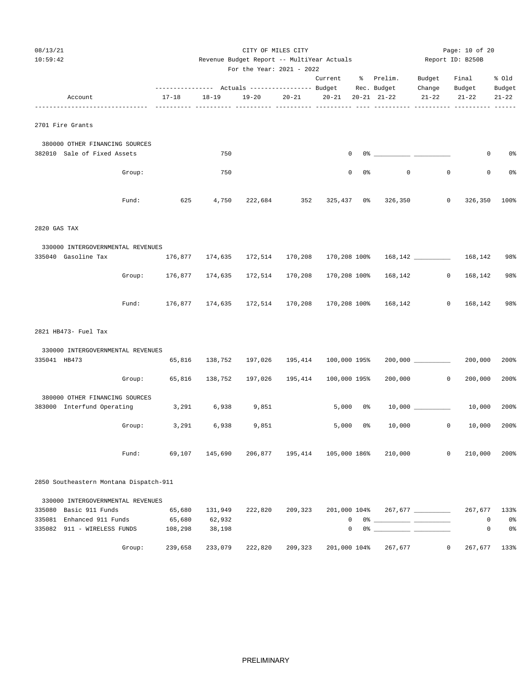| 08/13/21<br>10:59:42                                     |                   | Revenue Budget Report -- MultiYear Actuals | Page: 10 of 20<br>Report ID: B250B |                              |              |                  |                                                                                                                                                                                                                                                                                                                        |                     |                     |                      |
|----------------------------------------------------------|-------------------|--------------------------------------------|------------------------------------|------------------------------|--------------|------------------|------------------------------------------------------------------------------------------------------------------------------------------------------------------------------------------------------------------------------------------------------------------------------------------------------------------------|---------------------|---------------------|----------------------|
|                                                          |                   |                                            | For the Year: 2021 - 2022          |                              | Current      |                  | % Prelim.                                                                                                                                                                                                                                                                                                              | Budget              | Final               | % 01d                |
| Account                                                  | $17 - 18$         | $18 - 19$                                  | $19 - 20$                          | $20 - 21$                    | $20 - 21$    |                  | $20 - 21$ $21 - 22$                                                                                                                                                                                                                                                                                                    | Change<br>$21 - 22$ | Budget<br>$21 - 22$ | Budget<br>$21 - 22$  |
| 2701 Fire Grants                                         |                   |                                            |                                    |                              |              |                  |                                                                                                                                                                                                                                                                                                                        |                     |                     |                      |
| 380000 OTHER FINANCING SOURCES                           |                   |                                            |                                    |                              |              |                  |                                                                                                                                                                                                                                                                                                                        |                     |                     |                      |
| 382010 Sale of Fixed Assets                              |                   | 750                                        |                                    |                              |              | $\mathbf 0$      | $0$ $\frac{1}{2}$ $\frac{1}{2}$ $\frac{1}{2}$ $\frac{1}{2}$ $\frac{1}{2}$ $\frac{1}{2}$ $\frac{1}{2}$ $\frac{1}{2}$ $\frac{1}{2}$ $\frac{1}{2}$ $\frac{1}{2}$ $\frac{1}{2}$ $\frac{1}{2}$ $\frac{1}{2}$ $\frac{1}{2}$ $\frac{1}{2}$ $\frac{1}{2}$ $\frac{1}{2}$ $\frac{1}{2}$ $\frac{1}{2}$ $\frac{1}{2}$ $\frac{1}{2$ |                     | 0                   | 0%                   |
| Group:                                                   |                   | 750                                        |                                    |                              |              | 0<br>0%          | $\circ$                                                                                                                                                                                                                                                                                                                | $\mathbf{0}$        | $\mathbf 0$         | 0%                   |
| Fund:                                                    | 625               | 4,750                                      | 222,684                            | 352                          | $325,437$ 0% |                  | 326,350                                                                                                                                                                                                                                                                                                                | 0                   | 326,350             | 100%                 |
| 2820 GAS TAX                                             |                   |                                            |                                    |                              |              |                  |                                                                                                                                                                                                                                                                                                                        |                     |                     |                      |
| 330000 INTERGOVERNMENTAL REVENUES                        |                   |                                            |                                    |                              |              |                  |                                                                                                                                                                                                                                                                                                                        |                     |                     |                      |
| 335040 Gasoline Tax                                      | 176,877           | 174,635                                    | 172,514                            | 170,208                      | 170,208 100% |                  |                                                                                                                                                                                                                                                                                                                        |                     | 168,142             | 98%                  |
| Group:                                                   | 176,877           | 174,635                                    | 172,514                            | 170,208                      | 170,208 100% |                  | 168,142                                                                                                                                                                                                                                                                                                                | $\circ$             | 168,142             | 98%                  |
| Fund:                                                    |                   | 176,877 174,635                            | 172,514                            | 170,208                      |              |                  | 170,208 100% 168,142                                                                                                                                                                                                                                                                                                   | $\circ$             | 168,142             | 98%                  |
| 2821 HB473- Fuel Tax                                     |                   |                                            |                                    |                              |              |                  |                                                                                                                                                                                                                                                                                                                        |                     |                     |                      |
| 330000 INTERGOVERNMENTAL REVENUES                        |                   |                                            |                                    |                              |              |                  |                                                                                                                                                                                                                                                                                                                        |                     |                     |                      |
| 335041 HB473                                             | 65,816            | 138,752                                    | 197,026                            | 195,414                      | 100,000 195% |                  |                                                                                                                                                                                                                                                                                                                        |                     | 200,000             | 200%                 |
|                                                          | 65,816<br>Group:  | 138,752                                    | 197,026                            | 195,414                      | 100,000 195% |                  | 200,000                                                                                                                                                                                                                                                                                                                | $\mathbf 0$         | 200,000             | 200%                 |
| 380000 OTHER FINANCING SOURCES                           |                   |                                            |                                    |                              |              |                  |                                                                                                                                                                                                                                                                                                                        |                     |                     |                      |
| 383000 Interfund Operating                               | 3,291             | 6,938                                      | 9,851                              |                              | 5,000        | 0 %              |                                                                                                                                                                                                                                                                                                                        |                     | 10,000              | 200%                 |
| Group:                                                   | 3,291             | 6,938                                      | 9,851                              |                              | 5,000        | 0 %              | 10,000                                                                                                                                                                                                                                                                                                                 | $\circ$             | 10,000              | 200%                 |
| Fund:                                                    | 69,107            | 145,690                                    |                                    | 206,877 195,414 105,000 186% |              |                  | 210,000                                                                                                                                                                                                                                                                                                                | 0                   | 210,000             | 200%                 |
| 2850 Southeastern Montana Dispatch-911                   |                   |                                            |                                    |                              |              |                  |                                                                                                                                                                                                                                                                                                                        |                     |                     |                      |
| 330000 INTERGOVERNMENTAL REVENUES                        |                   |                                            |                                    |                              |              |                  |                                                                                                                                                                                                                                                                                                                        |                     |                     |                      |
| 335080 Basic 911 Funds                                   | 65,680            | 131,949                                    | 222,820                            | 209,323                      |              |                  | 201,000 104% 267,677 __________                                                                                                                                                                                                                                                                                        |                     | 267,677             | 133%                 |
| 335081 Enhanced 911 Funds<br>335082 911 - WIRELESS FUNDS | 65,680<br>108,298 | 62,932<br>38,198                           |                                    |                              |              | $\mathbf 0$<br>0 |                                                                                                                                                                                                                                                                                                                        |                     | 0<br>0              | 0%<br>0 <sup>o</sup> |
| Group:                                                   | 239,658           | 233,079                                    | 222,820                            | 209,323                      | 201,000 104% |                  | 267,677                                                                                                                                                                                                                                                                                                                | $\overline{0}$      | 267,677             | 133%                 |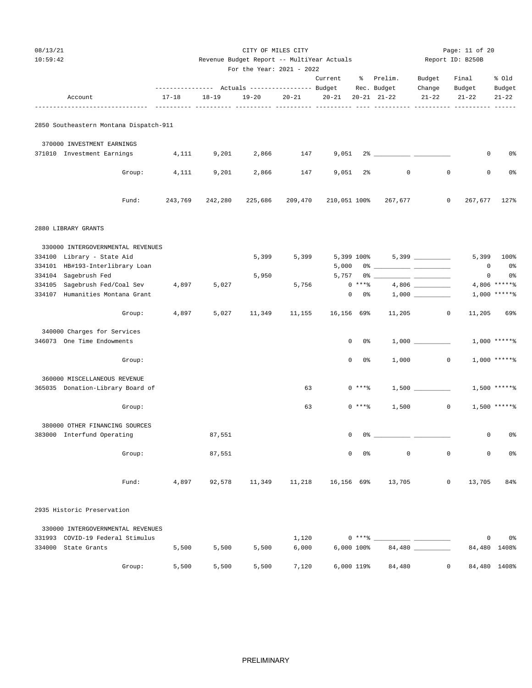| 08/13/21<br>10:59:42 |                                        |           |           | CITY OF MILES CITY<br>Revenue Budget Report -- MultiYear Actuals<br>For the Year: 2021 - 2022 |           | Page: 11 of 20<br>Report ID: B250B |                |                                                                                                                                                                                                                                                                                                                          |                     |                            |                     |
|----------------------|----------------------------------------|-----------|-----------|-----------------------------------------------------------------------------------------------|-----------|------------------------------------|----------------|--------------------------------------------------------------------------------------------------------------------------------------------------------------------------------------------------------------------------------------------------------------------------------------------------------------------------|---------------------|----------------------------|---------------------|
|                      |                                        |           |           |                                                                                               |           | Current                            |                | % Prelim.                                                                                                                                                                                                                                                                                                                | Budget              | Final                      | % old               |
|                      | Account                                | $17 - 18$ | $18 - 19$ | $19 - 20$                                                                                     | $20 - 21$ | $20 - 21$                          |                | $20 - 21$ $21 - 22$                                                                                                                                                                                                                                                                                                      | Change<br>$21 - 22$ | Budget<br>$21 - 22$        | Budget<br>$21 - 22$ |
|                      | 2850 Southeastern Montana Dispatch-911 |           |           |                                                                                               |           |                                    |                |                                                                                                                                                                                                                                                                                                                          |                     |                            |                     |
|                      | 370000 INVESTMENT EARNINGS             |           |           |                                                                                               |           |                                    |                |                                                                                                                                                                                                                                                                                                                          |                     |                            |                     |
|                      | 371010 Investment Earnings             | 4,111     | 9,201     | 2,866                                                                                         | 147       |                                    |                |                                                                                                                                                                                                                                                                                                                          |                     | 0                          | 0%                  |
|                      | Group:                                 | 4,111     | 9,201     | 2,866                                                                                         | 147       | 9,051                              | $2\%$          | 0                                                                                                                                                                                                                                                                                                                        | $\mathbf 0$         | 0                          | 0%                  |
|                      | Fund:                                  | 243,769   | 242,280   | 225,686                                                                                       | 209,470   |                                    |                | 210,051 100% 267,677                                                                                                                                                                                                                                                                                                     | 0                   | 267,677                    | 127%                |
| 2880 LIBRARY GRANTS  |                                        |           |           |                                                                                               |           |                                    |                |                                                                                                                                                                                                                                                                                                                          |                     |                            |                     |
|                      | 330000 INTERGOVERNMENTAL REVENUES      |           |           |                                                                                               |           |                                    |                |                                                                                                                                                                                                                                                                                                                          |                     |                            |                     |
|                      | 334100 Library - State Aid             |           |           | 5,399                                                                                         | 5,399     |                                    |                |                                                                                                                                                                                                                                                                                                                          |                     | 5,399                      | 100%                |
| 334104 Sagebrush Fed | 334101 HB#193-Interlibrary Loan        |           |           | 5,950                                                                                         |           | 5,000                              |                |                                                                                                                                                                                                                                                                                                                          |                     | $\mathbf 0$<br>$\mathbf 0$ | 0%<br>0%            |
|                      | 334105 Sagebrush Fed/Coal Sev 4,897    |           | 5,027     |                                                                                               | 5,756     |                                    | $0***8$        |                                                                                                                                                                                                                                                                                                                          |                     |                            | $4,806$ *****%      |
|                      | 334107 Humanities Montana Grant        |           |           |                                                                                               |           | $\mathbf{0}$                       | 0 %            |                                                                                                                                                                                                                                                                                                                          |                     |                            | $1,000$ *****%      |
|                      | Group:                                 | 4,897     | 5,027     | 11,349                                                                                        | 11,155    | 16,156 69%                         |                |                                                                                                                                                                                                                                                                                                                          | $11,205$ 0          | 11,205                     | 69%                 |
|                      | 340000 Charges for Services            |           |           |                                                                                               |           |                                    |                |                                                                                                                                                                                                                                                                                                                          |                     |                            |                     |
|                      | 346073 One Time Endowments             |           |           |                                                                                               |           | $\mathbf{0}$                       | 0 %            |                                                                                                                                                                                                                                                                                                                          |                     |                            | $1,000$ *****%      |
|                      | Group:                                 |           |           |                                                                                               |           | $\mathbf{0}$                       | 0%             | 1,000                                                                                                                                                                                                                                                                                                                    | $\circ$             |                            | $1,000$ ******      |
|                      | 360000 MISCELLANEOUS REVENUE           |           |           |                                                                                               |           |                                    |                |                                                                                                                                                                                                                                                                                                                          |                     |                            |                     |
|                      | 365035 Donation-Library Board of       |           |           |                                                                                               | 63        |                                    | $0$ *** $%$    |                                                                                                                                                                                                                                                                                                                          | $1,500$ _________   |                            | $1,500$ *****%      |
|                      | Group:                                 |           |           |                                                                                               | 63        |                                    | 0 ****         | 1,500                                                                                                                                                                                                                                                                                                                    | $\overline{0}$      |                            | $1,500$ *****%      |
|                      | 380000 OTHER FINANCING SOURCES         |           |           |                                                                                               |           |                                    |                |                                                                                                                                                                                                                                                                                                                          |                     |                            |                     |
|                      | 383000 Interfund Operating             |           | 87,551    |                                                                                               |           | 0                                  | 0%             |                                                                                                                                                                                                                                                                                                                          |                     | 0                          | 0%                  |
|                      | Group:                                 |           | 87,551    |                                                                                               |           | $\mathbf 0$                        | 0 <sup>8</sup> | $\mathbf 0$                                                                                                                                                                                                                                                                                                              | $\mathbf 0$         | $\mathbf 0$                | 0 <sup>°</sup>      |
|                      | Fund:                                  |           |           |                                                                                               |           |                                    |                | 4,897 92,578 11,349 11,218 16,156 69% 13,705                                                                                                                                                                                                                                                                             | $\circ$             | 13,705                     | 84%                 |
|                      | 2935 Historic Preservation             |           |           |                                                                                               |           |                                    |                |                                                                                                                                                                                                                                                                                                                          |                     |                            |                     |
|                      | 330000 INTERGOVERNMENTAL REVENUES      |           |           |                                                                                               |           |                                    |                |                                                                                                                                                                                                                                                                                                                          |                     |                            |                     |
|                      | 331993 COVID-19 Federal Stimulus       |           |           |                                                                                               | 1,120     |                                    |                | $0***$ $\frac{1}{2}$ $\frac{1}{2}$ $\frac{1}{2}$ $\frac{1}{2}$ $\frac{1}{2}$ $\frac{1}{2}$ $\frac{1}{2}$ $\frac{1}{2}$ $\frac{1}{2}$ $\frac{1}{2}$ $\frac{1}{2}$ $\frac{1}{2}$ $\frac{1}{2}$ $\frac{1}{2}$ $\frac{1}{2}$ $\frac{1}{2}$ $\frac{1}{2}$ $\frac{1}{2}$ $\frac{1}{2}$ $\frac{1}{2}$ $\frac{1}{2}$ $\frac{1}{$ |                     | $\overline{0}$             | 0%                  |
| 334000 State Grants  |                                        | 5,500     | 5,500     | 5,500                                                                                         | 6,000     | 6,000 100%                         |                |                                                                                                                                                                                                                                                                                                                          | 84,480              |                            | 84,480 1408%        |
|                      | Group:                                 | 5,500     | 5,500     | 5,500                                                                                         | 7,120     | 6,000 119%                         |                | 84,480                                                                                                                                                                                                                                                                                                                   | $\circ$             |                            | 84,480 1408%        |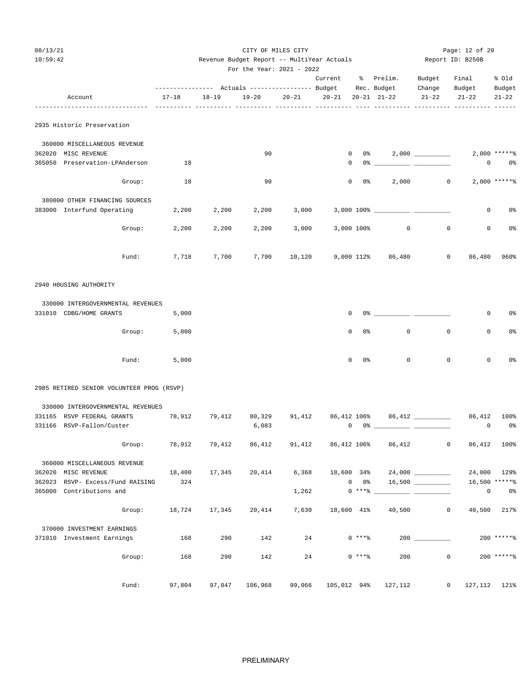| 08/13/21<br>10:59:42                                         |                                                                    |           | CITY OF MILES CITY<br>Revenue Budget Report -- MultiYear Actuals<br>For the Year: 2021 - 2022 |           | Page: 12 of 20<br>Report ID: B250B |                             |                                                                                                                                                                                                                                                                                                                                                                    |                   |                 |                                 |
|--------------------------------------------------------------|--------------------------------------------------------------------|-----------|-----------------------------------------------------------------------------------------------|-----------|------------------------------------|-----------------------------|--------------------------------------------------------------------------------------------------------------------------------------------------------------------------------------------------------------------------------------------------------------------------------------------------------------------------------------------------------------------|-------------------|-----------------|---------------------------------|
|                                                              | --------------- Actuals ---------------- Budget Rec. Budget Change |           |                                                                                               |           | Current % Prelim.                  |                             |                                                                                                                                                                                                                                                                                                                                                                    | Budget            | Final<br>Budget | % Old<br>Budget                 |
| Account<br>----------------------------                      | $17 - 18$                                                          | $18 - 19$ | $19 - 20$                                                                                     | $20 - 21$ | $20-21$ $20-21$ $21-22$            |                             |                                                                                                                                                                                                                                                                                                                                                                    | $21 - 22$         | $21 - 22$       | $21 - 22$                       |
| 2935 Historic Preservation                                   |                                                                    |           |                                                                                               |           |                                    |                             |                                                                                                                                                                                                                                                                                                                                                                    |                   |                 |                                 |
| 360000 MISCELLANEOUS REVENUE<br>362020 MISC REVENUE          |                                                                    |           | 90                                                                                            |           |                                    |                             | $0 \t 0 \t 2,000$ _________                                                                                                                                                                                                                                                                                                                                        |                   |                 | $2,000$ *****%                  |
| 365050 Preservation-LPAnderson                               | 18                                                                 |           |                                                                                               |           | 0                                  |                             | $0$ $\frac{1}{2}$ $\frac{1}{2}$ $\frac{1}{2}$ $\frac{1}{2}$ $\frac{1}{2}$ $\frac{1}{2}$ $\frac{1}{2}$ $\frac{1}{2}$ $\frac{1}{2}$ $\frac{1}{2}$ $\frac{1}{2}$ $\frac{1}{2}$ $\frac{1}{2}$ $\frac{1}{2}$ $\frac{1}{2}$ $\frac{1}{2}$ $\frac{1}{2}$ $\frac{1}{2}$ $\frac{1}{2}$ $\frac{1}{2}$ $\frac{1}{2}$ $\frac{1}{2$                                             |                   | 0               | 0%                              |
| Group:                                                       | 18                                                                 |           | 90                                                                                            |           | $\circ$                            |                             |                                                                                                                                                                                                                                                                                                                                                                    | $2,000$ 0         |                 | $2,000$ ***** %                 |
| 380000 OTHER FINANCING SOURCES                               |                                                                    |           |                                                                                               |           |                                    |                             |                                                                                                                                                                                                                                                                                                                                                                    |                   |                 |                                 |
| 383000 Interfund Operating                                   | 2,200                                                              | 2,200     | 2,200                                                                                         | 3,000     |                                    |                             | 3,000 100% __________ __                                                                                                                                                                                                                                                                                                                                           |                   | $\circ$         | 0%                              |
| Group:                                                       | 2,200                                                              | 2,200     | 2,200                                                                                         | 3,000     | 3,000 100%                         |                             | $\circ$                                                                                                                                                                                                                                                                                                                                                            | $\mathbf 0$       | $\mathbf{0}$    | 0%                              |
| Fund:                                                        | 7,718                                                              | 7,700     | 7,790                                                                                         | 10,120    |                                    |                             | 9,000 112% 86,480                                                                                                                                                                                                                                                                                                                                                  | $\circ$           |                 | 86,480 960%                     |
| 2940 HOUSING AUTHORITY                                       |                                                                    |           |                                                                                               |           |                                    |                             |                                                                                                                                                                                                                                                                                                                                                                    |                   |                 |                                 |
| 330000 INTERGOVERNMENTAL REVENUES                            |                                                                    |           |                                                                                               |           |                                    |                             |                                                                                                                                                                                                                                                                                                                                                                    |                   |                 |                                 |
| 331010 CDBG/HOME GRANTS                                      | 5,000                                                              |           |                                                                                               |           | 0                                  |                             |                                                                                                                                                                                                                                                                                                                                                                    |                   | 0               | 0%                              |
| Group:                                                       | 5,000                                                              |           |                                                                                               |           | $\mathbf 0$                        | 0 <sup>°</sup>              | $\mathbf 0$                                                                                                                                                                                                                                                                                                                                                        | $\mathbf 0$       | $\mathbf 0$     | 0%                              |
| Fund:                                                        | 5,000                                                              |           |                                                                                               |           | $\mathbf 0$                        | 0%                          | $\mathbf{0}$                                                                                                                                                                                                                                                                                                                                                       | $\mathbf 0$       | $\mathbf 0$     | 0%                              |
| 2985 RETIRED SENIOR VOLUNTEER PROG (RSVP)                    |                                                                    |           |                                                                                               |           |                                    |                             |                                                                                                                                                                                                                                                                                                                                                                    |                   |                 |                                 |
| 330000 INTERGOVERNMENTAL REVENUES                            |                                                                    |           |                                                                                               |           |                                    |                             |                                                                                                                                                                                                                                                                                                                                                                    |                   |                 |                                 |
| 331165 RSVP FEDERAL GRANTS                                   | 78,912                                                             | 79,412    | 80,329                                                                                        | 91,412    |                                    |                             | 86,412 106% 86,412 ________                                                                                                                                                                                                                                                                                                                                        |                   | 86,412          | 100%                            |
| 331166 RSVP-Fallon/Custer                                    |                                                                    |           | 6,083                                                                                         |           |                                    |                             | $\begin{picture}(150,10) \put(0,0){\vector(1,0){100}} \put(15,0){\vector(1,0){100}} \put(15,0){\vector(1,0){100}} \put(15,0){\vector(1,0){100}} \put(15,0){\vector(1,0){100}} \put(15,0){\vector(1,0){100}} \put(15,0){\vector(1,0){100}} \put(15,0){\vector(1,0){100}} \put(15,0){\vector(1,0){100}} \put(15,0){\vector(1,0){100}} \put(15,0){\vector(1,0){100}}$ |                   | $\mathbf 0$     | 0%                              |
| Group:                                                       | 78,912                                                             | 79,412    | 86,412                                                                                        | 91,412    | 86,412 106%                        |                             | 86,412                                                                                                                                                                                                                                                                                                                                                             | $\overline{0}$    |                 | 86,412 100%                     |
| 360000 MISCELLANEOUS REVENUE                                 |                                                                    |           |                                                                                               |           |                                    |                             |                                                                                                                                                                                                                                                                                                                                                                    |                   |                 |                                 |
| 362020 MISC REVENUE                                          | 18,400                                                             | 17,345    | 20,414                                                                                        | 6,368     | 18,600 34%                         |                             |                                                                                                                                                                                                                                                                                                                                                                    | 24,000 __________ |                 | 24,000 129%                     |
| 362023 RSVP- Excess/Fund RAISING<br>365000 Contributions and | 324                                                                |           |                                                                                               | 1,262     |                                    | $0\qquad 0$ %<br>$0***$ $*$ |                                                                                                                                                                                                                                                                                                                                                                    |                   | $\mathsf 0$     | 16,500 ******<br>0 <sup>o</sup> |
|                                                              |                                                                    |           |                                                                                               |           |                                    |                             |                                                                                                                                                                                                                                                                                                                                                                    |                   |                 |                                 |
| Group:                                                       | 18,724                                                             | 17,345    | 20,414                                                                                        | 7,630     | 18,600 41%                         |                             | 40,500                                                                                                                                                                                                                                                                                                                                                             | 0                 | 40,500          | 217%                            |
| 370000 INVESTMENT EARNINGS                                   |                                                                    |           |                                                                                               |           |                                    |                             |                                                                                                                                                                                                                                                                                                                                                                    |                   |                 |                                 |
| 371010 Investment Earnings                                   | 168                                                                | 290       | 142                                                                                           | 24        |                                    | $0***8$                     |                                                                                                                                                                                                                                                                                                                                                                    |                   |                 | $200$ ***** %                   |
| Group:                                                       | 168                                                                | 290       | 142                                                                                           | 24        |                                    | $0***8$                     | 200                                                                                                                                                                                                                                                                                                                                                                | $\mathbf 0$       |                 | $200$ ***** %                   |

PRELIMINARY

Fund: 97,804 97,047 106,968 99,066 105,012 94% 127,112 0 127,112 121%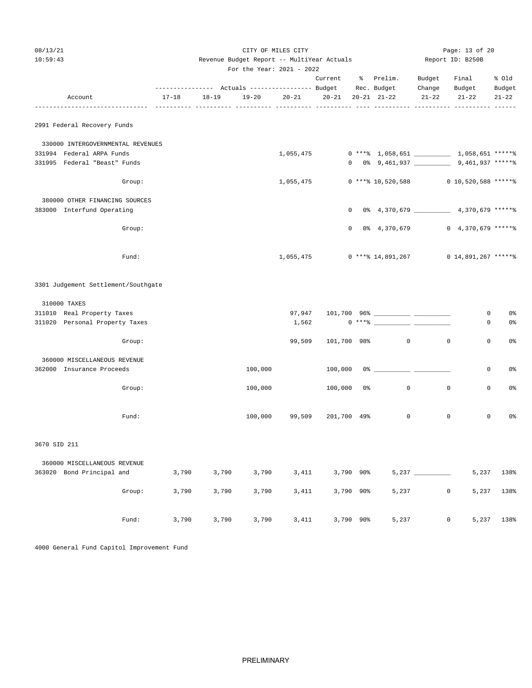| 08/13/21<br>10:59:43 |                                     |        |           |           | CITY OF MILES CITY<br>Revenue Budget Report -- MultiYear Actuals | Page: 13 of 20<br>Report ID: B250B |                    |           |                                                  |             |                         |           |
|----------------------|-------------------------------------|--------|-----------|-----------|------------------------------------------------------------------|------------------------------------|--------------------|-----------|--------------------------------------------------|-------------|-------------------------|-----------|
|                      |                                     |        |           |           | For the Year: 2021 - 2022                                        |                                    |                    |           |                                                  |             |                         |           |
|                      |                                     |        |           |           |                                                                  |                                    |                    |           | Current % Prelim. Budget                         |             | Final                   | % Old     |
|                      |                                     |        |           |           |                                                                  |                                    |                    |           |                                                  | Change      | Budget                  | Budget    |
|                      | Account                             |        | $17 - 18$ | $18 - 19$ |                                                                  | 19-20 20-21                        | $20 - 21$          |           | $20 - 21$ $21 - 22$                              | $21 - 22$   | $21 - 22$               | $21 - 22$ |
|                      | 2991 Federal Recovery Funds         |        |           |           |                                                                  |                                    |                    |           |                                                  |             |                         |           |
|                      | 330000 INTERGOVERNMENTAL REVENUES   |        |           |           |                                                                  |                                    |                    |           |                                                  |             |                         |           |
|                      | 331994 Federal ARPA Funds           |        |           |           |                                                                  | 1,055,475                          |                    |           | $0$ **** 1,058,651 1,058,651 ******              |             |                         |           |
|                      | 331995 Federal "Beast" Funds        |        |           |           |                                                                  |                                    |                    |           | 0 0% 9,461,937 ________________ 9,461,937 ****** |             |                         |           |
|                      |                                     | Group: |           |           |                                                                  | 1,055,475                          |                    |           | 0 **** 10,520,588 0 10,520,588 ******            |             |                         |           |
|                      | 380000 OTHER FINANCING SOURCES      |        |           |           |                                                                  |                                    |                    |           |                                                  |             |                         |           |
|                      | 383000 Interfund Operating          |        |           |           |                                                                  |                                    |                    |           | 0 0% 4,370,679 4,370,679 ******                  |             |                         |           |
|                      |                                     | Group: |           |           |                                                                  |                                    |                    |           | $0 \t 0 \t 4, 370, 679$                          |             | $0, 4, 370, 679$ *****\ |           |
|                      |                                     | Fund:  |           |           |                                                                  | 1,055,475                          |                    |           | $0$ **** 14,891,267                              |             | $0\;14,891,267$ *****%  |           |
|                      | 3301 Judgement Settlement/Southgate |        |           |           |                                                                  |                                    |                    |           |                                                  |             |                         |           |
|                      | 310000 TAXES                        |        |           |           |                                                                  |                                    |                    |           |                                                  |             |                         |           |
|                      | 311010 Real Property Taxes          |        |           |           |                                                                  |                                    |                    |           |                                                  |             | 0                       | 0%        |
|                      | 311020 Personal Property Taxes      |        |           |           |                                                                  | 1,562                              |                    |           | $0***$                                           |             | 0                       | 0%        |
|                      |                                     | Group: |           |           |                                                                  | 99,509                             | 101,700 98%        |           | 0                                                | $\mathbf 0$ | 0                       | 0%        |
|                      | 360000 MISCELLANEOUS REVENUE        |        |           |           |                                                                  |                                    |                    |           |                                                  |             |                         |           |
|                      | 362000 Insurance Proceeds           |        |           |           | 100,000                                                          |                                    |                    |           | $100,000$ $0$ <sup>8</sup>                       |             | 0                       | 0%        |
|                      |                                     | Group: |           |           | 100,000                                                          |                                    | 100,000            | 0%        | $\mathbf 0$                                      | $\mathbf 0$ | 0                       | 0%        |
|                      |                                     | Fund:  |           |           | 100,000                                                          |                                    | 99,509 201,700 49% |           | $\mathbf 0$                                      | $\mathbf 0$ | 0                       | 0%        |
| 3670 SID 211         |                                     |        |           |           |                                                                  |                                    |                    |           |                                                  |             |                         |           |
|                      | 360000 MISCELLANEOUS REVENUE        |        |           |           |                                                                  |                                    |                    |           |                                                  |             |                         |           |
|                      | 363020 Bond Principal and           |        | 3,790     | 3,790     | 3,790                                                            | 3,411                              | 3,790 90%          |           |                                                  |             | 5,237                   | 138%      |
|                      |                                     | Group: | 3,790     | 3,790     | 3,790                                                            | 3,411                              | 3,790 90%          |           | 5,237                                            | 0           | 5,237                   | 138%      |
|                      |                                     | Fund:  | 3,790     | 3,790     | 3,790                                                            | 3,411                              |                    | 3,790 90% | 5,237                                            | $\mathbf 0$ | 5,237                   | 138%      |

4000 General Fund Capitol Improvement Fund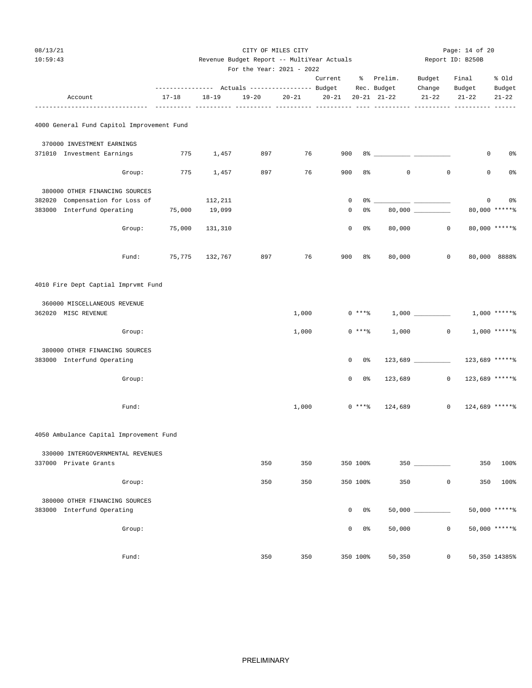| 08/13/21<br>10:59:43                                       |        |                                                                          | Revenue Budget Report -- MultiYear Actuals<br>For the Year: 2021 - 2022 |           | Page: 14 of 20<br>Report ID: B250B |              |                |                     |                     |                     |                         |
|------------------------------------------------------------|--------|--------------------------------------------------------------------------|-------------------------------------------------------------------------|-----------|------------------------------------|--------------|----------------|---------------------|---------------------|---------------------|-------------------------|
|                                                            |        |                                                                          |                                                                         |           |                                    | Current      |                | % Prelim.           | Budget              | Final               | % old                   |
| Account                                                    |        | --------------- Actuals ---------------- Budget Rec. Budget<br>$17 - 18$ | $18 - 19$                                                               | $19 - 20$ | $20 - 21$                          | $20 - 21$    |                | $20 - 21$ $21 - 22$ | Change<br>$21 - 22$ | Budget<br>$21 - 22$ | Budget<br>$21 - 22$     |
| 4000 General Fund Capitol Improvement Fund                 |        |                                                                          |                                                                         |           |                                    |              |                |                     |                     |                     |                         |
| 370000 INVESTMENT EARNINGS                                 |        |                                                                          |                                                                         |           |                                    |              |                |                     |                     |                     |                         |
| 371010 Investment Earnings                                 |        | 775                                                                      | 1,457                                                                   | 897       | 76                                 | 900          |                |                     |                     | 0                   | 0%                      |
|                                                            | Group: | 775                                                                      | 1,457                                                                   | 897       | 76                                 | 900          | 8 <sup>°</sup> | $\mathbf 0$         | $\circ$             | 0                   | 0%                      |
| 380000 OTHER FINANCING SOURCES                             |        |                                                                          |                                                                         |           |                                    |              |                |                     |                     |                     |                         |
| 382020 Compensation for Loss of                            |        |                                                                          | 112,211                                                                 |           |                                    | 0            |                |                     |                     |                     | $0 \qquad \qquad$<br>0% |
| 383000 Interfund Operating                                 |        | 75,000                                                                   | 19,099                                                                  |           |                                    | 0            | 0%             |                     |                     |                     | 80,000 ******           |
|                                                            | Group: | 75,000                                                                   | 131,310                                                                 |           |                                    | $\mathbf 0$  | $0\,$ s        | 80,000              | $\circ$             |                     | 80,000 ******           |
|                                                            | Fund:  | 75,775                                                                   | 132,767                                                                 | 897       | 76                                 | 900          | $8\,$          | 80,000              | 0                   |                     | 80,000 8888%            |
| 4010 Fire Dept Captial Imprvmt Fund                        |        |                                                                          |                                                                         |           |                                    |              |                |                     |                     |                     |                         |
| 360000 MISCELLANEOUS REVENUE<br>362020 MISC REVENUE        |        |                                                                          |                                                                         |           | 1,000                              |              | $0***8$        |                     |                     |                     | $1,000$ *****%          |
|                                                            | Group: |                                                                          |                                                                         |           | 1,000                              |              | $0***8$        | 1,000               | $\mathsf{O}$        |                     | $1,000$ *****%          |
| 380000 OTHER FINANCING SOURCES                             |        |                                                                          |                                                                         |           |                                    |              |                |                     |                     |                     |                         |
| 383000 Interfund Operating                                 |        |                                                                          |                                                                         |           |                                    | $\mathbf{0}$ | 0 %            |                     |                     | 123,689 ******      |                         |
|                                                            | Group: |                                                                          |                                                                         |           |                                    | $\mathbf{0}$ | 0%             | 123,689             | $\mathbf{0}$        | 123,689 ******      |                         |
|                                                            | Fund:  |                                                                          |                                                                         |           | 1,000                              |              | $0***8$        | 124,689             | $\circ$             | 124,689 ******      |                         |
| 4050 Ambulance Capital Improvement Fund                    |        |                                                                          |                                                                         |           |                                    |              |                |                     |                     |                     |                         |
|                                                            |        |                                                                          |                                                                         |           |                                    |              |                |                     |                     |                     |                         |
| 330000 INTERGOVERNMENTAL REVENUES<br>337000 Private Grants |        |                                                                          |                                                                         | 350       | 350                                |              | 350 100%       |                     |                     | 350                 | 100%                    |
|                                                            | Group: |                                                                          |                                                                         | 350       | 350                                |              | 350 100%       | 350                 | $\mathbf 0$         | 350                 | 100%                    |
| 380000 OTHER FINANCING SOURCES                             |        |                                                                          |                                                                         |           |                                    |              |                |                     |                     |                     |                         |
| 383000 Interfund Operating                                 |        |                                                                          |                                                                         |           |                                    | $\mathbf 0$  | $0\,$ s        |                     |                     |                     | 50,000 ******           |
|                                                            | Group: |                                                                          |                                                                         |           |                                    | 0            | $0\,$ s        | 50,000              | $\mathbf 0$         |                     | 50,000 *****%           |
|                                                            | Fund:  |                                                                          |                                                                         | 350       | 350                                |              | 350 100%       | 50,350              | $\mathbf 0$         |                     | 50,350 14385%           |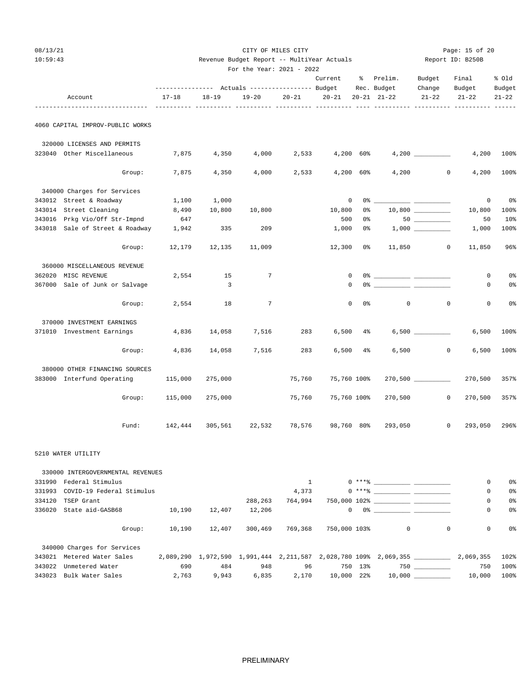| 10:59:43 |                                  |         | Revenue Budget Report -- MultiYear Actuals |                           | Report ID: B250B |                          |       |                                                                          |                                     |                  |                     |
|----------|----------------------------------|---------|--------------------------------------------|---------------------------|------------------|--------------------------|-------|--------------------------------------------------------------------------|-------------------------------------|------------------|---------------------|
|          |                                  |         |                                            | For the Year: 2021 - 2022 |                  |                          |       |                                                                          |                                     |                  | % Old               |
|          |                                  |         |                                            |                           |                  | Current                  |       | % Prelim.<br>--------------- Actuals ---------------- Budget Rec. Budget | Budget<br>Final<br>Change<br>Budget |                  |                     |
|          | Account                          | 17-18   | $18 - 19$                                  | $19 - 20$                 | $20 - 21$        | $20 - 21$                |       | $20 - 21$ $21 - 22$                                                      | $21 - 22$                           | $21 - 22$        | Budget<br>$21 - 22$ |
|          |                                  |         |                                            |                           |                  |                          |       |                                                                          |                                     |                  |                     |
|          | 4060 CAPITAL IMPROV-PUBLIC WORKS |         |                                            |                           |                  |                          |       |                                                                          |                                     |                  |                     |
|          | 320000 LICENSES AND PERMITS      |         |                                            |                           |                  |                          |       |                                                                          |                                     |                  |                     |
|          | 323040 Other Miscellaneous       | 7,875   | 4,350                                      | 4,000                     |                  |                          |       |                                                                          |                                     |                  | 4,200 100%          |
|          | Group:                           | 7,875   | 4,350                                      | 4,000                     | 2,533            | $4,200$ 60%              |       | 4,200                                                                    |                                     | $\circ$<br>4,200 | 100%                |
|          | 340000 Charges for Services      |         |                                            |                           |                  |                          |       |                                                                          |                                     |                  |                     |
|          | 343012 Street & Roadway          | 1,100   | 1,000                                      |                           |                  | $\overline{\phantom{0}}$ |       | 0% -                                                                     |                                     | $\circ$          | 0 <sub>8</sub>      |
|          | 343014 Street Cleaning           | 8,490   | 10,800                                     | 10,800                    |                  | 10,800                   | 0%    |                                                                          |                                     | 10,800           | 100%                |
|          | 343016 Prkg Vio/Off Str-Impnd    | 647     |                                            |                           |                  | 500                      | 0%    |                                                                          | $50$                                | 50               | 10%                 |
|          | 343018 Sale of Street & Roadway  | 1,942   | 335                                        | 209                       |                  | 1,000                    | 0%    |                                                                          |                                     | 1,000            | 100%                |
|          | Group:                           |         | 12,179 12,135                              | 11,009                    |                  | $12,300$ 0%              |       | 11,850                                                                   | $\circ$                             | 11,850           | 96%                 |
|          | 360000 MISCELLANEOUS REVENUE     |         |                                            |                           |                  |                          |       |                                                                          |                                     |                  |                     |
|          | 362020 MISC REVENUE              | 2,554   | 15                                         | $7\phantom{0}$            |                  | $\mathbf{0}$             |       |                                                                          |                                     | 0                | 0 <sup>°</sup>      |
|          | 367000 Sale of Junk or Salvage   |         | $\overline{3}$                             |                           |                  | 0                        |       | 0% _____________ _____                                                   |                                     | 0                | 0%                  |
|          | Group:                           | 2,554   | 18                                         |                           |                  | $\Omega$                 | 0 %   | $\overline{0}$                                                           | $\circ$                             | $\Omega$         | 0 <sub>8</sub>      |
|          | 370000 INVESTMENT EARNINGS       |         |                                            |                           |                  |                          |       |                                                                          |                                     |                  |                     |
|          | 371010 Investment Earnings       | 4,836   | 14,058                                     | 7,516                     | 283              | 6,500                    | $4\%$ |                                                                          |                                     | 6,500            | 100%                |
|          | Group:                           | 4,836   | 14,058                                     | 7,516                     | 283              | $6,500$ 4%               |       | 6,500                                                                    | $\overline{0}$                      | 6,500            | 100%                |
|          | 380000 OTHER FINANCING SOURCES   |         |                                            |                           |                  |                          |       |                                                                          |                                     |                  |                     |
|          | 383000 Interfund Operating       | 115,000 | 275,000                                    |                           | 75,760           | 75,760 100%              |       |                                                                          |                                     | 270,500          | 357%                |
|          | Group:                           | 115,000 | 275,000                                    |                           | 75,760           | 75,760 100%              |       | 270,500                                                                  | $\circ$                             | 270,500          | 357%                |
|          | Fund:                            |         | 142,444 305,561 22,532                     |                           | 78,576           | 98,760 80%               |       | 293,050                                                                  | $\mathbf{0}$                        | 293,050          | 296%                |
|          |                                  |         |                                            |                           |                  |                          |       |                                                                          |                                     |                  |                     |

CITY OF MILES CITY CITY CITY Page: 15 of 20

5210 WATER UTILITY

|        | 330000 INTERGOVERNMENTAL REVENUES |        |        |                                         |         |              |     |                                                                                                     |              |           |                |
|--------|-----------------------------------|--------|--------|-----------------------------------------|---------|--------------|-----|-----------------------------------------------------------------------------------------------------|--------------|-----------|----------------|
| 331990 | Federal Stimulus                  |        |        |                                         |         |              |     |                                                                                                     |              | 0         | 0%             |
| 331993 | COVID-19 Federal Stimulus         |        |        |                                         | 4,373   |              |     | $0 \rightarrow + +$ $\frac{1}{2}$                                                                   |              | 0         | 0%             |
| 334120 | TSEP Grant                        |        |        | 288,263                                 | 764,994 |              |     |                                                                                                     |              | 0         | 0 <sup>°</sup> |
| 336020 | State aid-GASB68                  | 10,190 | 12,407 | 12,206                                  |         | $\mathbf{0}$ |     | 0.3 - 2010 - 2010 - 2010 - 2010 - 2010 - 2010 - 2010 - 2010 - 2010 - 2010 - 2010 - 2010 - 2010 - 20 |              | 0         | 0 <sup>°</sup> |
|        | Group:                            | 10,190 | 12,407 | 300,469                                 | 769,368 | 750,000 103% |     | $\circ$                                                                                             | $\mathbf{0}$ | 0         | 0%             |
|        | 340000 Charges for Services       |        |        |                                         |         |              |     |                                                                                                     |              |           |                |
| 343021 | Metered Water Sales               |        |        | 2,089,290 1,972,590 1,991,444 2,211,587 |         |              |     | 2,028,780 109% 2,069,355                                                                            |              | 2,069,355 | 102%           |
| 343022 | Unmetered Water                   | 690    | 484    | 948                                     | 96      | 750          | 13% |                                                                                                     | 750 750      | 750       | 100%           |
|        | 343023 Bulk Water Sales           | 2,763  | 9,943  | 6,835                                   | 2,170   | 10,000 22%   |     |                                                                                                     |              | 10,000    | 100%           |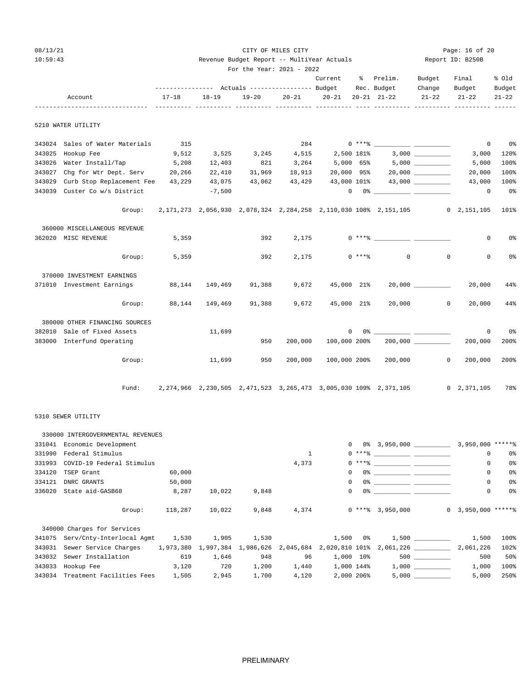| -087 | $\mathcal{D}$<br>. . |  |
|------|----------------------|--|
|------|----------------------|--|

|        | 10:59:43                         |                 |           | Revenue Budget Report -- MultiYear Actuals |               | Report ID: B250B  |          |                                                                                                                                                                                                                                                                                                                                                                    |                      |             |                |
|--------|----------------------------------|-----------------|-----------|--------------------------------------------|---------------|-------------------|----------|--------------------------------------------------------------------------------------------------------------------------------------------------------------------------------------------------------------------------------------------------------------------------------------------------------------------------------------------------------------------|----------------------|-------------|----------------|
|        |                                  |                 |           | For the Year: $2021 - 2022$                |               |                   |          |                                                                                                                                                                                                                                                                                                                                                                    |                      |             |                |
|        |                                  |                 |           |                                            |               | Current % Prelim. |          |                                                                                                                                                                                                                                                                                                                                                                    | Budget               | Final       | % Old          |
|        |                                  |                 |           |                                            |               |                   |          | --------------- Actuals ---------------- Budget Rec. Budget Change                                                                                                                                                                                                                                                                                                 |                      | Budget      | Budget         |
|        | Account                          | $17 - 18$       | $18 - 19$ |                                            |               |                   |          | $19-20$ $20-21$ $20-21$ $20-21$ $21-22$ $21-22$                                                                                                                                                                                                                                                                                                                    |                      | $21 - 22$   | $21 - 22$      |
|        | 5210 WATER UTILITY               |                 |           |                                            |               |                   |          |                                                                                                                                                                                                                                                                                                                                                                    |                      |             |                |
|        | 343024 Sales of Water Materials  | 315             |           |                                            |               |                   |          |                                                                                                                                                                                                                                                                                                                                                                    |                      | $\mathbf 0$ | 0%             |
| 343025 | Hookup Fee                       | 9,512           |           | 3,525 3,245                                | 4,515         |                   |          |                                                                                                                                                                                                                                                                                                                                                                    |                      | 3,000       | 120%           |
| 343026 | Water Install/Tap                | 5,208           | 12,403    | 821                                        |               |                   |          | $3,264$ $5,000$ $65\%$ $5,000$ $\qquad \qquad \qquad$                                                                                                                                                                                                                                                                                                              |                      | 5,000       | 100%           |
| 343027 | Chg for Wtr Dept. Serv 20,266    |                 | 22,410    |                                            |               |                   |          | $31,969$ $18,913$ $20,000$ $95\%$ $20,000$ $\qquad \qquad$                                                                                                                                                                                                                                                                                                         |                      | 20,000      | 100%           |
| 343029 | Curb Stop Replacement Fee 43,229 |                 | 43,075    |                                            | 43,062 43,429 |                   |          | 43,000 101% 43,000 ________                                                                                                                                                                                                                                                                                                                                        |                      | 43,000      | 100%           |
|        | 343039 Custer Co w/s District    |                 | $-7,500$  |                                            |               |                   |          | $\begin{picture}(150,10) \put(0,0){\vector(1,0){100}} \put(15,0){\vector(1,0){100}} \put(15,0){\vector(1,0){100}} \put(15,0){\vector(1,0){100}} \put(15,0){\vector(1,0){100}} \put(15,0){\vector(1,0){100}} \put(15,0){\vector(1,0){100}} \put(15,0){\vector(1,0){100}} \put(15,0){\vector(1,0){100}} \put(15,0){\vector(1,0){100}} \put(15,0){\vector(1,0){100}}$ |                      | $\mathbf 0$ | $0\,$ s        |
|        | Group:                           |                 |           |                                            |               |                   |          | 2,171,273 2,056,930 2,078,324 2,284,258 2,110,030 108% 2,151,105 0 2,151,105                                                                                                                                                                                                                                                                                       |                      |             | 101%           |
|        | 360000 MISCELLANEOUS REVENUE     |                 |           |                                            |               |                   |          |                                                                                                                                                                                                                                                                                                                                                                    |                      |             |                |
|        | 362020 MISC REVENUE              | 5,359           |           |                                            |               |                   |          |                                                                                                                                                                                                                                                                                                                                                                    |                      | $\circ$     | 0%             |
|        | Group:                           | 5,359           |           | 392                                        | 2,175         |                   | $0$ **** | $\circ$                                                                                                                                                                                                                                                                                                                                                            | $\circ$              | 0           | 0 <sup>°</sup> |
|        | 370000 INVESTMENT EARNINGS       |                 |           |                                            |               |                   |          |                                                                                                                                                                                                                                                                                                                                                                    |                      |             |                |
|        | 371010 Investment Earnings       | 88,144          | 149,469   | 91,388                                     | 9,672         | 45,000 21%        |          |                                                                                                                                                                                                                                                                                                                                                                    | 20,000 000           | 20,000      | 44%            |
|        |                                  | Group: $88,144$ | 149,469   |                                            | 91,388 9,672  | 45,000 21%        |          |                                                                                                                                                                                                                                                                                                                                                                    | 20,000 0             | 20,000      | 44%            |
|        | 380000 OTHER FINANCING SOURCES   |                 |           |                                            |               |                   |          |                                                                                                                                                                                                                                                                                                                                                                    |                      |             |                |
|        | 382010 Sale of Fixed Assets      |                 | 11,699    |                                            |               |                   |          | $\begin{picture}(150,10) \put(0,0){\vector(1,0){100}} \put(15,0){\vector(1,0){100}} \put(15,0){\vector(1,0){100}} \put(15,0){\vector(1,0){100}} \put(15,0){\vector(1,0){100}} \put(15,0){\vector(1,0){100}} \put(15,0){\vector(1,0){100}} \put(15,0){\vector(1,0){100}} \put(15,0){\vector(1,0){100}} \put(15,0){\vector(1,0){100}} \put(15,0){\vector(1,0){100}}$ |                      | $\mathbf 0$ | 0%             |
|        | 383000 Interfund Operating       |                 |           | 950                                        | 200,000       | 100,000 200%      |          |                                                                                                                                                                                                                                                                                                                                                                    | $200,000$ __________ | 200,000     | 200%           |
|        | Group:                           |                 | 11,699    | 950                                        | 200,000       |                   |          | 100,000 200% 200,000                                                                                                                                                                                                                                                                                                                                               | $\circ$              | 200,000     | 200%           |
|        | Fund:                            |                 |           |                                            |               |                   |          | 2, 274, 966 2, 230, 505 2, 471, 523 3, 265, 473 3, 005, 030 109% 2, 371, 105 0 2, 371, 105                                                                                                                                                                                                                                                                         |                      |             | 78%            |
|        |                                  |                 |           |                                            |               |                   |          |                                                                                                                                                                                                                                                                                                                                                                    |                      |             |                |

CITY OF MILES CITY CITY CITY CITY Dage: 16 of 20

## 5310 SEWER UTILITY

|        | 330000 INTERGOVERNMENTAL REVENUES                                                                          |         |        |       |              |              |                  |                                                                                                                                                                                                                                                                                                                                                                                                                                                                                                                                  |                      |                |
|--------|------------------------------------------------------------------------------------------------------------|---------|--------|-------|--------------|--------------|------------------|----------------------------------------------------------------------------------------------------------------------------------------------------------------------------------------------------------------------------------------------------------------------------------------------------------------------------------------------------------------------------------------------------------------------------------------------------------------------------------------------------------------------------------|----------------------|----------------|
| 331041 | Economic Development                                                                                       |         |        |       |              | $\Omega$     |                  |                                                                                                                                                                                                                                                                                                                                                                                                                                                                                                                                  |                      |                |
| 331990 | Federal Stimulus                                                                                           |         |        |       | $\mathbf{1}$ |              |                  | $0 \times + *$ 8                                                                                                                                                                                                                                                                                                                                                                                                                                                                                                                 | $\mathbf 0$          | 0%             |
| 331993 | COVID-19 Federal Stimulus                                                                                  |         |        |       | 4,373        |              |                  | $0 \xrightarrow{***\texttt{\$}} \xrightarrow{\hspace*{1.5cm}} \xrightarrow{\hspace*{1.5cm}} \xrightarrow{\hspace*{1.5cm}} \xrightarrow{\hspace*{1.5cm}} \xrightarrow{\hspace*{1.5cm}} \xrightarrow{\hspace*{1.5cm}} \xrightarrow{\hspace*{1.5cm}} \xrightarrow{\hspace*{1.5cm}} \xrightarrow{\hspace*{1.5cm}} \xrightarrow{\hspace*{1.5cm}} \xrightarrow{\hspace*{1.5cm}} \xrightarrow{\hspace*{1.5cm}} \xrightarrow{\hspace*{1.5cm}} \xrightarrow{\hspace*{1.5cm}} \xrightarrow{\hspace*{1.5cm}} \xrightarrow{\hspace*{1.5cm}}$ | 0                    | 0 <sup>o</sup> |
| 334120 | TSEP Grant                                                                                                 | 60,000  |        |       |              | $\mathbf{0}$ |                  |                                                                                                                                                                                                                                                                                                                                                                                                                                                                                                                                  | 0                    | 0 <sup>o</sup> |
| 334121 | DNRC GRANTS                                                                                                | 50,000  |        |       |              | $\Omega$     |                  |                                                                                                                                                                                                                                                                                                                                                                                                                                                                                                                                  | 0                    | 0%             |
| 336020 | State aid-GASB68                                                                                           | 8,287   | 10,022 | 9,848 |              | $\mathbf{0}$ |                  |                                                                                                                                                                                                                                                                                                                                                                                                                                                                                                                                  | 0                    | 0%             |
|        | Group:                                                                                                     | 118,287 | 10,022 | 9,848 |              | 4,374        | $0***$ 3,950,000 |                                                                                                                                                                                                                                                                                                                                                                                                                                                                                                                                  | $0$ 3,950,000 ****** |                |
|        | 340000 Charges for Services                                                                                |         |        |       |              |              |                  |                                                                                                                                                                                                                                                                                                                                                                                                                                                                                                                                  |                      |                |
| 341075 | Serv/Cnty-Interlocal Agmt                                                                                  | 1,530   | 1,905  |       |              |              |                  | $1,530$ $1,500$ $0$ $1,500$ $1,500$ $1,500$                                                                                                                                                                                                                                                                                                                                                                                                                                                                                      |                      | 100%           |
| 343031 | Sewer Service Charges 1,973,380 1,997,384 1,986,626 2,045,684 2,020,810 101% 2,061,226 _________ 2,061,226 |         |        |       |              |              |                  |                                                                                                                                                                                                                                                                                                                                                                                                                                                                                                                                  |                      | 102%           |
| 343032 | Sewer Installation 619                                                                                     |         | 1,646  | 948   | 96           |              |                  | $1,000$ $10\%$ 500                                                                                                                                                                                                                                                                                                                                                                                                                                                                                                               | 500                  | 50%            |
| 343033 | Hookup Fee 3,120                                                                                           |         | 720    | 1,200 | 1,440        |              |                  | $1,000$ $144\%$ $1,000$                                                                                                                                                                                                                                                                                                                                                                                                                                                                                                          | 1,000                | 100%           |
|        | 343034 Treatment Facilities Fees                                                                           | 1,505   | 2,945  | 1,700 | 4,120        | 2,000 206%   |                  | 5,000                                                                                                                                                                                                                                                                                                                                                                                                                                                                                                                            | 5,000                | 250%           |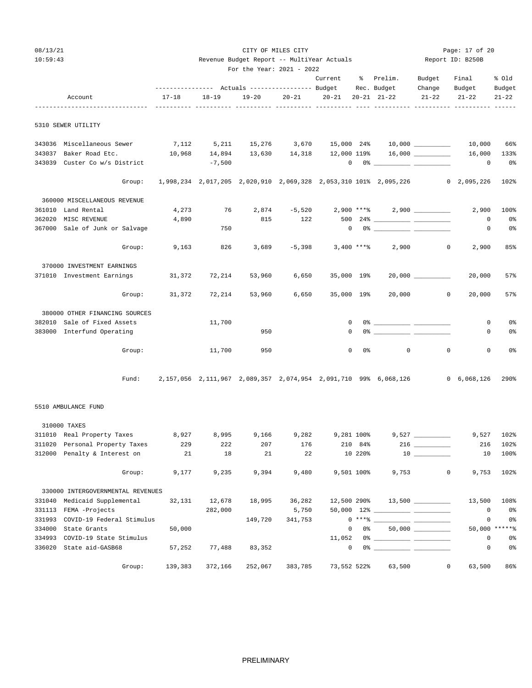| ıЯ<br>U |  |
|---------|--|
|---------|--|

| 10:59:43 | Revenue Budget Report -- MultiYear Actuals | Report ID: B250B |
|----------|--------------------------------------------|------------------|
|          |                                            |                  |

|        |                                    | For the Year: 2021 - 2022 |           |                                                                                |           |                     |           |                                                                                                                                                                                                                                                                                                                                                                    |                       |                     |                     |  |
|--------|------------------------------------|---------------------------|-----------|--------------------------------------------------------------------------------|-----------|---------------------|-----------|--------------------------------------------------------------------------------------------------------------------------------------------------------------------------------------------------------------------------------------------------------------------------------------------------------------------------------------------------------------------|-----------------------|---------------------|---------------------|--|
|        |                                    |                           |           |                                                                                | Current   |                     | % Prelim. | Budget                                                                                                                                                                                                                                                                                                                                                             | Final                 | % Old               |                     |  |
|        | Account                            | $17 - 18$                 | $18 - 19$ | --------------    Actuals ---------------    Budget    Rec.    Budget<br>19-20 | $20 - 21$ | $20 - 21$           |           | $20 - 21$ $21 - 22$                                                                                                                                                                                                                                                                                                                                                | Change<br>$21 - 22$   | Budget<br>$21 - 22$ | Budget<br>$21 - 22$ |  |
|        |                                    |                           |           |                                                                                |           |                     |           |                                                                                                                                                                                                                                                                                                                                                                    |                       |                     |                     |  |
|        | 5310 SEWER UTILITY                 |                           |           |                                                                                |           |                     |           |                                                                                                                                                                                                                                                                                                                                                                    |                       |                     |                     |  |
|        | 343036 Miscellaneous Sewer         |                           |           |                                                                                |           |                     |           | $7,112$ $5,211$ $15,276$ $3,670$ $15,000$ $24$ $10,000$ $\qquad \qquad 10,000$                                                                                                                                                                                                                                                                                     |                       |                     | 66%                 |  |
| 343037 | Baker Road Etc.                    | 10,968                    |           |                                                                                |           |                     |           | $14,894$ $13,630$ $14,318$ $12,000$ $119\$ $16,000$ $\frac{1}{2}$                                                                                                                                                                                                                                                                                                  |                       | 16,000              | 133%                |  |
|        | 343039 Custer Co w/s District      |                           | $-7,500$  |                                                                                |           |                     |           | $\begin{picture}(150,10) \put(0,0){\vector(1,0){100}} \put(15,0){\vector(1,0){100}} \put(15,0){\vector(1,0){100}} \put(15,0){\vector(1,0){100}} \put(15,0){\vector(1,0){100}} \put(15,0){\vector(1,0){100}} \put(15,0){\vector(1,0){100}} \put(15,0){\vector(1,0){100}} \put(15,0){\vector(1,0){100}} \put(15,0){\vector(1,0){100}} \put(15,0){\vector(1,0){100}}$ |                       | $\mathbf{0}$        | 0%                  |  |
|        | Group:                             |                           |           |                                                                                |           |                     |           | 1,998,234 2,017,205 2,020,910 2,069,328 2,053,310 101% 2,095,226 0 2,095,226                                                                                                                                                                                                                                                                                       |                       |                     | 102%                |  |
|        | 360000 MISCELLANEOUS REVENUE       |                           |           |                                                                                |           |                     |           |                                                                                                                                                                                                                                                                                                                                                                    |                       |                     |                     |  |
| 361010 | Land Rental                        | 4,273                     | 76        | 2,874                                                                          |           |                     |           |                                                                                                                                                                                                                                                                                                                                                                    |                       | 2,900               | 100%                |  |
| 362020 | MISC REVENUE                       | 4,890                     |           | 815                                                                            | 122       |                     |           |                                                                                                                                                                                                                                                                                                                                                                    |                       | 0                   | 0%                  |  |
|        | 367000 Sale of Junk or Salvage     |                           | 750       |                                                                                |           | $\mathbf{0}$        |           |                                                                                                                                                                                                                                                                                                                                                                    |                       | 0                   | 0%                  |  |
|        | Group:                             | 9,163                     | 826       | 3,689                                                                          |           | $-5,398$ 3,400 **** |           | 2,900                                                                                                                                                                                                                                                                                                                                                              | $\overline{0}$        | 2,900               | 85%                 |  |
|        | 370000 INVESTMENT EARNINGS         |                           |           |                                                                                |           |                     |           |                                                                                                                                                                                                                                                                                                                                                                    |                       |                     |                     |  |
|        | 371010 Investment Earnings         | 31,372                    | 72,214    | 53,960                                                                         | 6,650     | 35,000 19%          |           |                                                                                                                                                                                                                                                                                                                                                                    | $20,000$ ____________ | 20,000              | 57%                 |  |
|        | Group:                             | 31,372                    | 72,214    | 53,960                                                                         | 6,650     | 35,000 19%          |           |                                                                                                                                                                                                                                                                                                                                                                    | 20,000 0              | 20,000              | 57%                 |  |
|        | 380000 OTHER FINANCING SOURCES     |                           |           |                                                                                |           |                     |           |                                                                                                                                                                                                                                                                                                                                                                    |                       |                     |                     |  |
|        | 382010 Sale of Fixed Assets        |                           | 11,700    |                                                                                |           | 0                   |           |                                                                                                                                                                                                                                                                                                                                                                    |                       | 0                   | 0%                  |  |
|        | 383000 Interfund Operating         |                           |           | 950                                                                            |           | $\mathbf 0$         |           | $0\%$ $-$                                                                                                                                                                                                                                                                                                                                                          |                       | 0                   | $0\,$               |  |
|        | Group:                             |                           | 11,700    | 950                                                                            |           | $\mathbf 0$         | 0%        | $\mathbf{0}$                                                                                                                                                                                                                                                                                                                                                       | $\mathbf 0$           | 0                   | 0%                  |  |
|        | Fund:                              |                           |           |                                                                                |           |                     |           | 2,157,056 2,111,967 2,089,357 2,074,954 2,091,710 99% 6,068,126 0 6,068,126                                                                                                                                                                                                                                                                                        |                       |                     | 290%                |  |
|        | 5510 AMBULANCE FUND                |                           |           |                                                                                |           |                     |           |                                                                                                                                                                                                                                                                                                                                                                    |                       |                     |                     |  |
|        | 310000 TAXES                       |                           |           |                                                                                |           |                     |           |                                                                                                                                                                                                                                                                                                                                                                    |                       |                     |                     |  |
|        | 311010 Real Property Taxes 8,927   |                           | 8,995     | 9,166                                                                          | 9,282     | 9,281 100%          |           |                                                                                                                                                                                                                                                                                                                                                                    |                       | 9,527               | 102%                |  |
|        | 311020 Personal Property Taxes 229 |                           | 222       | 207                                                                            | 176       |                     | 210 84%   |                                                                                                                                                                                                                                                                                                                                                                    | $216$ ________        | 216                 | 102%                |  |
|        | 312000 Penalty & Interest on       | 21                        | 18        | 21                                                                             | 22        |                     | 10 220%   |                                                                                                                                                                                                                                                                                                                                                                    |                       | 10                  | 100%                |  |
|        | Group:                             | 9,177                     | 9,235     | 9,394                                                                          | 9,480     | 9,501 100%          |           | 9,753                                                                                                                                                                                                                                                                                                                                                              | $\mathbf{0}$          | 9,753               | 102%                |  |
|        | 330000 INTERGOVERNMENTAL REVENUES  |                           |           |                                                                                |           |                     |           |                                                                                                                                                                                                                                                                                                                                                                    |                       |                     |                     |  |
| 331040 | Medicaid Supplemental              | 32,131                    | 12,678    | 18,995                                                                         | 36,282    | 12,500 290%         |           |                                                                                                                                                                                                                                                                                                                                                                    |                       | 13,500              | 108%                |  |
|        | 331113 FEMA -Projects              |                           | 282,000   |                                                                                | 5,750     |                     |           |                                                                                                                                                                                                                                                                                                                                                                    |                       | $\mathbf 0$         | 0%                  |  |
|        | 331993 COVID-19 Federal Stimulus   |                           |           | 149,720                                                                        | 341,753   |                     |           | $0***$ $\frac{1}{2}$ $\frac{1}{2}$ $\frac{1}{2}$ $\frac{1}{2}$ $\frac{1}{2}$ $\frac{1}{2}$ $\frac{1}{2}$ $\frac{1}{2}$ $\frac{1}{2}$ $\frac{1}{2}$ $\frac{1}{2}$ $\frac{1}{2}$ $\frac{1}{2}$ $\frac{1}{2}$ $\frac{1}{2}$ $\frac{1}{2}$ $\frac{1}{2}$ $\frac{1}{2}$ $\frac{1}{2}$ $\frac{1}{2}$ $\frac{1}{2}$ $\frac{1}{$                                           |                       | 0                   | 0 <sup>8</sup>      |  |
| 334000 | State Grants                       | 50,000                    |           |                                                                                |           | $\mathbf{0}$        | 0 %       |                                                                                                                                                                                                                                                                                                                                                                    |                       |                     | 50,000 ******       |  |
| 334993 | COVID-19 State Stimulus            |                           |           |                                                                                |           | 11,052              |           |                                                                                                                                                                                                                                                                                                                                                                    |                       | 0                   | $0\,$               |  |
|        | 336020 State aid-GASB68            | 57,252                    | 77,488    | 83,352                                                                         |           |                     | 0         |                                                                                                                                                                                                                                                                                                                                                                    |                       | 0                   | 0%                  |  |
|        | Group:                             | 139,383                   | 372,166   | 252,067                                                                        | 383,785   | 73,552 522%         |           | 63,500                                                                                                                                                                                                                                                                                                                                                             | $\mathsf{O}$          | 63,500              | 86%                 |  |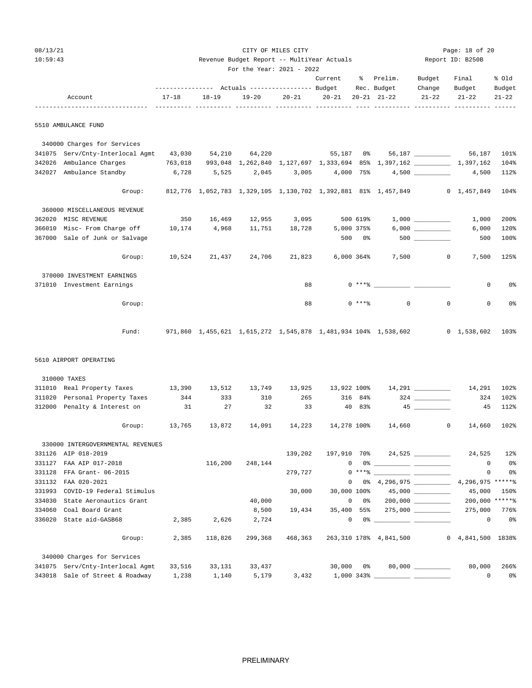| 08/13/21 |                                                     |           |         |                                            | CITY OF MILES CITY |                        |                      |                                                                                                                                                                                                                                                                                                                                                                    |                    | Page: 18 of 20    |                |
|----------|-----------------------------------------------------|-----------|---------|--------------------------------------------|--------------------|------------------------|----------------------|--------------------------------------------------------------------------------------------------------------------------------------------------------------------------------------------------------------------------------------------------------------------------------------------------------------------------------------------------------------------|--------------------|-------------------|----------------|
| 10:59:43 |                                                     |           |         | Revenue Budget Report -- MultiYear Actuals |                    |                        |                      |                                                                                                                                                                                                                                                                                                                                                                    | Report ID: B250B   |                   |                |
|          |                                                     |           |         | For the Year: 2021 - 2022                  |                    |                        |                      |                                                                                                                                                                                                                                                                                                                                                                    |                    |                   |                |
|          |                                                     |           |         |                                            |                    |                        |                      | Current % Prelim.                                                                                                                                                                                                                                                                                                                                                  | Budget             | Final             | % old          |
|          |                                                     |           |         |                                            |                    |                        |                      | Rec. Budget                                                                                                                                                                                                                                                                                                                                                        | Change             | Budget            | Budget         |
|          | Account                                             | $17 - 18$ | 18-19   | $19 - 20$                                  | $20 - 21$          | $20 - 21$              |                      | $20 - 21$ $21 - 22$                                                                                                                                                                                                                                                                                                                                                | $21 - 22$          | $21 - 22$         | $21 - 22$      |
|          | 5510 AMBULANCE FUND                                 |           |         |                                            |                    |                        |                      |                                                                                                                                                                                                                                                                                                                                                                    |                    |                   |                |
|          | 340000 Charges for Services                         |           |         |                                            |                    |                        |                      |                                                                                                                                                                                                                                                                                                                                                                    |                    |                   |                |
|          | 341075 Serv/Cnty-Interlocal Agmt 43,030             |           | 54,210  | 64,220                                     |                    | 55,187 0%              |                      |                                                                                                                                                                                                                                                                                                                                                                    | 56,187 ___________ |                   | 56,187 101%    |
| 342026   | Ambulance Charges                                   | 763,018   |         |                                            |                    |                        |                      | 993,048 1,262,840 1,127,697 1,333,694 85% 1,397,162 1,397,162                                                                                                                                                                                                                                                                                                      |                    |                   | 104%           |
|          | 342027 Ambulance Standby                            | 6,728     | 5,525   | 2,045                                      |                    | $3,005$ $4,000$ $75\%$ |                      |                                                                                                                                                                                                                                                                                                                                                                    |                    | 4,500             | 112%           |
|          | Group:                                              |           |         |                                            |                    |                        |                      | 812,776 1,052,783 1,329,105 1,130,702 1,392,881 81% 1,457,849 0 1,457,849                                                                                                                                                                                                                                                                                          |                    |                   | 104%           |
|          |                                                     |           |         |                                            |                    |                        |                      |                                                                                                                                                                                                                                                                                                                                                                    |                    |                   |                |
|          | 360000 MISCELLANEOUS REVENUE<br>362020 MISC REVENUE | 350       |         | 16,469 12,955 3,095                        |                    |                        | 500 619%             |                                                                                                                                                                                                                                                                                                                                                                    |                    | 1,000             | 200%           |
|          | 366010 Misc- From Charge off 10,174                 |           | 4,968   | 11,751                                     | 18,728             |                        |                      |                                                                                                                                                                                                                                                                                                                                                                    |                    | 6,000             | 120%           |
|          | 367000 Sale of Junk or Salvage                      |           |         |                                            |                    |                        | 5,000 375%<br>500 0% |                                                                                                                                                                                                                                                                                                                                                                    |                    | 500               | 100%           |
|          |                                                     |           |         |                                            |                    |                        |                      |                                                                                                                                                                                                                                                                                                                                                                    |                    |                   |                |
|          | Group:                                              | 10,524    | 21,437  | 24,706                                     | 21,823             | 6,000 364%             |                      | 7,500                                                                                                                                                                                                                                                                                                                                                              | $\overline{0}$     | 7,500             | 125%           |
|          | 370000 INVESTMENT EARNINGS                          |           |         |                                            |                    |                        |                      |                                                                                                                                                                                                                                                                                                                                                                    |                    |                   |                |
|          | 371010 Investment Earnings                          |           |         |                                            | 88                 |                        |                      | $0$ *** $8$                                                                                                                                                                                                                                                                                                                                                        |                    | 0                 | 0%             |
|          | Group:                                              |           |         |                                            | 88                 |                        | $0$ ****             | $\circ$                                                                                                                                                                                                                                                                                                                                                            | $\mathbf 0$        | 0                 | 0 <sub>8</sub> |
|          | Fund:                                               |           |         |                                            |                    |                        |                      | 971,860 1,455,621 1,615,272 1,545,878 1,481,934 104% 1,538,602 0 1,538,602                                                                                                                                                                                                                                                                                         |                    |                   | 103%           |
|          | 5610 AIRPORT OPERATING                              |           |         |                                            |                    |                        |                      |                                                                                                                                                                                                                                                                                                                                                                    |                    |                   |                |
|          |                                                     |           |         |                                            |                    |                        |                      |                                                                                                                                                                                                                                                                                                                                                                    |                    |                   |                |
|          | 310000 TAXES                                        |           |         |                                            |                    |                        |                      |                                                                                                                                                                                                                                                                                                                                                                    |                    |                   |                |
|          | 311010 Real Property Taxes 13,390                   |           | 13,512  | 13,749                                     | 13,925             | 13,922 100%            |                      |                                                                                                                                                                                                                                                                                                                                                                    | $14,291$ _________ | 14,291            | 102%           |
|          | 311020 Personal Property Taxes                      | 344       | 333     | 310                                        | 265                |                        | 316 84%              |                                                                                                                                                                                                                                                                                                                                                                    |                    | 324               | 102%           |
|          | 312000 Penalty & Interest on                        | 31        | 27      | 32                                         | 33                 |                        | 40 83%               |                                                                                                                                                                                                                                                                                                                                                                    |                    | 45                | 112%           |
|          | Group:                                              | 13,765    | 13,872  | 14,091                                     | 14,223             | 14,278 100%            |                      | 14,660                                                                                                                                                                                                                                                                                                                                                             | 0                  | 14,660            | 102%           |
|          | 330000 INTERGOVERNMENTAL REVENUES                   |           |         |                                            |                    |                        |                      |                                                                                                                                                                                                                                                                                                                                                                    |                    |                   |                |
|          | 331126 AIP 018-2019                                 |           |         |                                            | 139,202            |                        |                      | 197,910 70% 24,525 _________                                                                                                                                                                                                                                                                                                                                       |                    | 24,525            | $12$ %         |
|          | 331127 FAA AIP 017-2018                             |           | 116,200 | 248,144                                    |                    |                        |                      | $\begin{picture}(180,10) \put(0,0){\vector(1,0){100}} \put(10,0){\vector(1,0){100}} \put(10,0){\vector(1,0){100}} \put(10,0){\vector(1,0){100}} \put(10,0){\vector(1,0){100}} \put(10,0){\vector(1,0){100}} \put(10,0){\vector(1,0){100}} \put(10,0){\vector(1,0){100}} \put(10,0){\vector(1,0){100}} \put(10,0){\vector(1,0){100}} \put(10,0){\vector(1,0){100}}$ |                    | $\overline{0}$    | 0 <sub>8</sub> |
|          | 331128 FFA Grant- 06-2015                           |           |         |                                            | 279,727            |                        |                      | $0***$ $\frac{1}{2}$ $\frac{1}{2}$ $\frac{1}{2}$ $\frac{1}{2}$ $\frac{1}{2}$ $\frac{1}{2}$ $\frac{1}{2}$ $\frac{1}{2}$ $\frac{1}{2}$ $\frac{1}{2}$ $\frac{1}{2}$ $\frac{1}{2}$ $\frac{1}{2}$ $\frac{1}{2}$ $\frac{1}{2}$ $\frac{1}{2}$ $\frac{1}{2}$ $\frac{1}{2}$ $\frac{1}{2}$ $\frac{1}{2}$ $\frac{1}{2}$ $\frac{1}{$                                           |                    | $\circ$           | 0 <sub>8</sub> |
|          | 331132 FAA 020-2021                                 |           |         |                                            |                    |                        |                      | $0$ $0$ $8$ $4,296,975$ $4,296,975$ $*$                                                                                                                                                                                                                                                                                                                            |                    |                   |                |
|          | 331993 COVID-19 Federal Stimulus                    |           |         |                                            | 30,000             |                        |                      | 30,000 100% 45,000 _________                                                                                                                                                                                                                                                                                                                                       |                    | 45,000            | 150%           |
|          | 334030 State Aeronautics Grant                      |           |         | 40,000                                     |                    |                        |                      | $0 \t 0$ $0 \t 200,000$ _________                                                                                                                                                                                                                                                                                                                                  |                    | 200,000 ******    |                |
|          | 334060 Coal Board Grant                             |           |         | 8,500                                      | 19,434             |                        |                      | 35,400 55% 275,000 ________                                                                                                                                                                                                                                                                                                                                        |                    | 275,000           | 776%           |
|          | 336020 State aid-GASB68                             | 2,385     | 2,626   | 2,724                                      |                    |                        |                      | $\begin{picture}(180,10) \put(0,0){\vector(1,0){100}} \put(10,0){\vector(1,0){100}} \put(10,0){\vector(1,0){100}} \put(10,0){\vector(1,0){100}} \put(10,0){\vector(1,0){100}} \put(10,0){\vector(1,0){100}} \put(10,0){\vector(1,0){100}} \put(10,0){\vector(1,0){100}} \put(10,0){\vector(1,0){100}} \put(10,0){\vector(1,0){100}} \put(10,0){\vector(1,0){100}}$ |                    | $\circ$           | 0 <sub>8</sub> |
|          | Group:                                              | 2,385     | 118,826 |                                            | 299,368 468,363    |                        |                      | 263,310 178% 4,841,500                                                                                                                                                                                                                                                                                                                                             |                    | 0 4,841,500 1838% |                |
|          | 340000 Charges for Services                         |           |         |                                            |                    |                        |                      |                                                                                                                                                                                                                                                                                                                                                                    |                    |                   |                |
|          | 341075 Serv/Cnty-Interlocal Agmt                    | 33,516    | 33,131  | 33,437                                     |                    | 30,000                 | 0%                   |                                                                                                                                                                                                                                                                                                                                                                    |                    | 80,000            | 266%           |

343018 Sale of Street & Roadway 1,238 1,140 5,179 3,432 1,000 343% \_\_\_\_\_\_\_\_\_\_ \_\_\_\_\_\_\_\_\_\_ 0 0%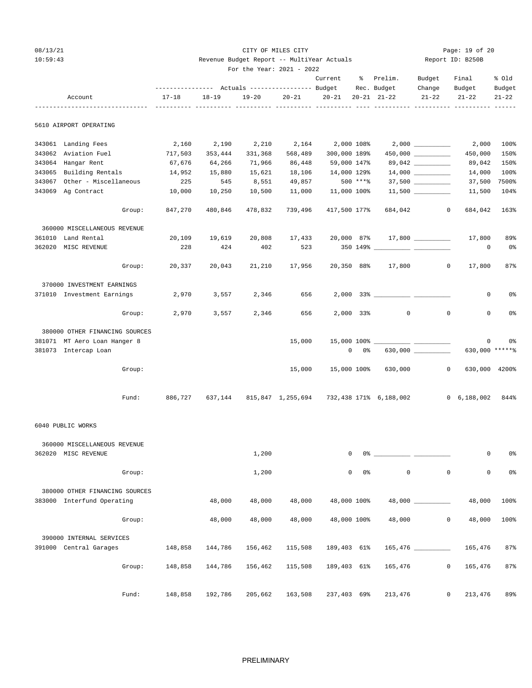## 08/13/21 CITY OF MILES CITY Page: 19 of 20 10:59:43 Revenue Budget Report -- MultiYear Actuals Report ID: B250B

|        |                                |                                                 |           | For the Year: 2021 - 2022 |           |              |               |                                                                                                                                                                                                                                                                                                                                                                    |                    |                                            |                |
|--------|--------------------------------|-------------------------------------------------|-----------|---------------------------|-----------|--------------|---------------|--------------------------------------------------------------------------------------------------------------------------------------------------------------------------------------------------------------------------------------------------------------------------------------------------------------------------------------------------------------------|--------------------|--------------------------------------------|----------------|
|        |                                |                                                 |           |                           |           | Current      |               | % Prelim.                                                                                                                                                                                                                                                                                                                                                          | Budget             | Final                                      | % Old          |
|        |                                | --------------- Actuals ---------------- Budget |           |                           |           |              |               | Rec. Budget                                                                                                                                                                                                                                                                                                                                                        | Change             | Budget                                     | Budget         |
|        | Account                        | $17 - 18$                                       | $18 - 19$ | $19 - 20$                 | $20 - 21$ | $20 - 21$    |               | $20 - 21$ $21 - 22$                                                                                                                                                                                                                                                                                                                                                | $21 - 22$          | $21 - 22$                                  | $21 - 22$      |
|        | 5610 AIRPORT OPERATING         |                                                 |           |                           |           |              |               |                                                                                                                                                                                                                                                                                                                                                                    |                    |                                            |                |
|        | 343061 Landing Fees            | 2,160                                           | 2,190     | 2,210                     | 2,164     | 2,000 108%   |               |                                                                                                                                                                                                                                                                                                                                                                    |                    | 2,000                                      | 100%           |
|        | 343062 Aviation Fuel           | 717,503                                         | 353,444   | 331,368                   | 568,489   | 300,000 189% |               |                                                                                                                                                                                                                                                                                                                                                                    | 450,000 __________ | 450,000                                    | 150%           |
|        | 343064 Hangar Rent             | 67,676                                          | 64,266    | 71,966                    | 86,448    | 59,000 147%  |               |                                                                                                                                                                                                                                                                                                                                                                    |                    | 89,042                                     | 150%           |
|        | 343065 Building Rentals        | 14,952                                          | 15,880    | 15,621                    | 18,106    | 14,000 129%  |               |                                                                                                                                                                                                                                                                                                                                                                    |                    | 14,000                                     | 100%           |
| 343067 | Other - Miscellaneous          | 225                                             | 545       | 8,551                     | 49,857    |              | 500 ****      |                                                                                                                                                                                                                                                                                                                                                                    | $37,500$ _________ | 37,500                                     | 7500%          |
|        | 343069 Ag Contract             | 10,000                                          | 10,250    | 10,500                    | 11,000    | 11,000 100%  |               |                                                                                                                                                                                                                                                                                                                                                                    |                    | 11,500                                     | 104%           |
|        | Group:                         | 847,270                                         | 480,846   | 478,832                   | 739,496   | 417,500 177% |               | 684,042                                                                                                                                                                                                                                                                                                                                                            | $\overline{0}$     | 684,042                                    | 163%           |
|        | 360000 MISCELLANEOUS REVENUE   |                                                 |           |                           |           |              |               |                                                                                                                                                                                                                                                                                                                                                                    |                    |                                            |                |
|        | 361010 Land Rental             | 20,109                                          | 19,619    | 20,808                    | 17,433    |              |               | 20,000 87% 17,800 _________                                                                                                                                                                                                                                                                                                                                        |                    | 17,800                                     | 89%            |
|        | 362020 MISC REVENUE            | 228                                             | 424       | 402                       | 523       |              |               | 350 149% ______________ _____                                                                                                                                                                                                                                                                                                                                      |                    | 0                                          | 0%             |
|        | Group:                         | 20,337                                          | 20,043    | 21,210                    | 17,956    | 20,350 88%   |               | 17,800                                                                                                                                                                                                                                                                                                                                                             |                    | $\circ$<br>17,800                          | 87%            |
|        | 370000 INVESTMENT EARNINGS     |                                                 |           |                           |           |              |               |                                                                                                                                                                                                                                                                                                                                                                    |                    |                                            |                |
|        | 371010 Investment Earnings     | 2,970                                           | 3,557     | 2,346                     | 656       |              |               |                                                                                                                                                                                                                                                                                                                                                                    |                    | 0                                          | 0%             |
|        | Group:                         | 2,970                                           | 3,557     | 2,346                     | 656       |              | 2,000 33%     | $\circ$                                                                                                                                                                                                                                                                                                                                                            |                    | $\mathbf 0$<br>0                           | 0%             |
|        | 380000 OTHER FINANCING SOURCES |                                                 |           |                           |           |              |               |                                                                                                                                                                                                                                                                                                                                                                    |                    |                                            |                |
|        | 381071 MT Aero Loan Hanger 8   |                                                 |           |                           | 15,000    |              |               |                                                                                                                                                                                                                                                                                                                                                                    |                    | 0                                          | 0%             |
|        | 381073 Intercap Loan           |                                                 |           |                           |           |              | $0\qquad 0$ % |                                                                                                                                                                                                                                                                                                                                                                    |                    | 630,000 ******                             |                |
|        | Group:                         |                                                 |           |                           | 15,000    |              |               | 15,000 100% 630,000                                                                                                                                                                                                                                                                                                                                                |                    | $\overline{0}$<br>630,000 4200%            |                |
|        | Fund:                          | 886,727                                         |           |                           |           |              |               | 637,144 815,847 1,255,694 732,438 171% 6,188,002                                                                                                                                                                                                                                                                                                                   |                    | $0\quad 6,188,002$                         | 844%           |
|        | 6040 PUBLIC WORKS              |                                                 |           |                           |           |              |               |                                                                                                                                                                                                                                                                                                                                                                    |                    |                                            |                |
|        | 360000 MISCELLANEOUS REVENUE   |                                                 |           |                           |           |              |               |                                                                                                                                                                                                                                                                                                                                                                    |                    |                                            |                |
|        | 362020 MISC REVENUE            |                                                 |           | 1,200                     |           | $\Omega$     |               | $\begin{picture}(150,10) \put(0,0){\vector(1,0){100}} \put(15,0){\vector(1,0){100}} \put(15,0){\vector(1,0){100}} \put(15,0){\vector(1,0){100}} \put(15,0){\vector(1,0){100}} \put(15,0){\vector(1,0){100}} \put(15,0){\vector(1,0){100}} \put(15,0){\vector(1,0){100}} \put(15,0){\vector(1,0){100}} \put(15,0){\vector(1,0){100}} \put(15,0){\vector(1,0){100}}$ |                    | 0                                          | 0%             |
|        | Group:                         |                                                 |           | 1,200                     |           | $\mathbf 0$  | $0\,$ s       | $\mathsf{O}$                                                                                                                                                                                                                                                                                                                                                       |                    | $\mathsf{O}\xspace$<br>$\mathsf{O}\xspace$ | 0 <sup>°</sup> |
|        | 380000 OTHER FINANCING SOURCES |                                                 |           |                           |           |              |               |                                                                                                                                                                                                                                                                                                                                                                    |                    |                                            |                |
|        | 383000 Interfund Operating     |                                                 | 48,000    | 48,000                    | 48,000    | 48,000 100%  |               |                                                                                                                                                                                                                                                                                                                                                                    | 48,000 _________   | 48,000                                     | 100%           |
|        | Group:                         |                                                 | 48,000    | 48,000                    | 48,000    | 48,000 100%  |               | 48,000                                                                                                                                                                                                                                                                                                                                                             |                    | $\mathbf 0$<br>48,000                      | 100%           |
|        | 390000 INTERNAL SERVICES       |                                                 |           |                           |           |              |               |                                                                                                                                                                                                                                                                                                                                                                    |                    |                                            |                |
|        | 391000 Central Garages         | 148,858                                         | 144,786   | 156,462                   | 115,508   | 189,403 61%  |               |                                                                                                                                                                                                                                                                                                                                                                    |                    | 165,476                                    | 87%            |
|        | Group:                         | 148,858                                         | 144,786   | 156,462                   | 115,508   | 189,403 61%  |               | 165,476                                                                                                                                                                                                                                                                                                                                                            |                    | $\mathsf{O}\xspace$<br>165,476             | 87%            |
|        | Fund:                          | 148,858                                         | 192,786   | 205,662                   | 163,508   | 237,403 69%  |               | 213,476                                                                                                                                                                                                                                                                                                                                                            |                    | 0<br>213,476                               | 89%            |